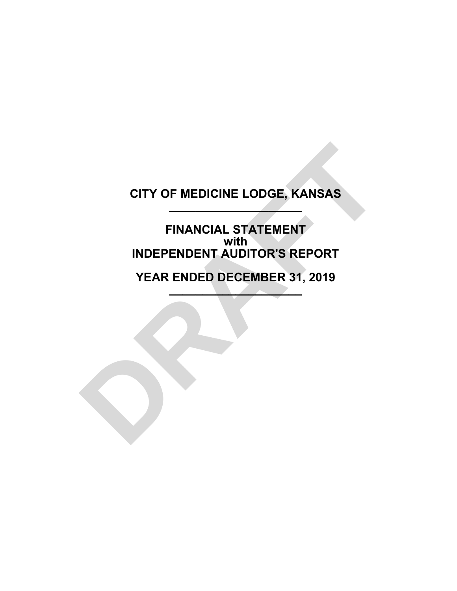# **CITY OF MEDICINE LODGE, KANSAS \_\_\_\_\_\_\_\_\_\_\_\_\_\_\_\_\_\_\_\_**

**FINANCIAL STATEMENT with INDEPENDENT AUDITOR'S REPORT** CITY OF MEDICINE LODGE, KANSAS<br>
FINANCIAL STATEMENT<br>
WITH<br>
INDEPENDENT AUDITOR'S REPORT<br>
YEAR ENDED DECEMBER 31, 2019

**YEAR ENDED DECEMBER 31, 2019 \_\_\_\_\_\_\_\_\_\_\_\_\_\_\_\_\_\_\_\_**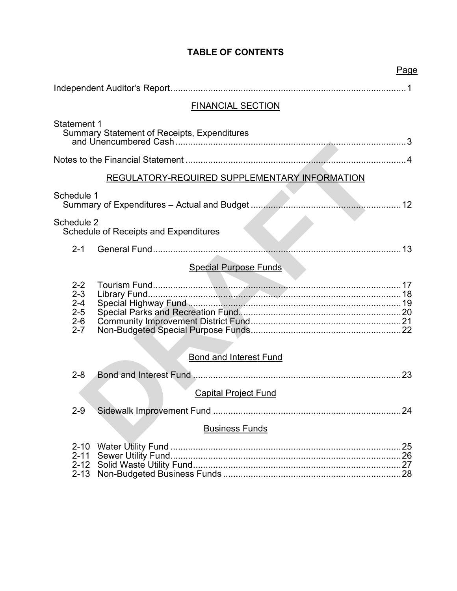# **TABLE OF CONTENTS**

| <b>FINANCIAL SECTION</b>                                                 |  |
|--------------------------------------------------------------------------|--|
| <b>Statement 1</b><br><b>Summary Statement of Receipts, Expenditures</b> |  |
|                                                                          |  |
| <b>REGULATORY-REQUIRED SUPPLEMENTARY INFORMATION</b>                     |  |
| Schedule 1<br>Summary of Expenditures - Actual and Budget<br>12<br>.     |  |
| Schedule 2<br><b>Schedule of Receipts and Expenditures</b>               |  |
| $2 - 1$                                                                  |  |
| <b>Special Purpose Funds</b>                                             |  |
| $2 - 2$<br>$2 - 3$<br>$2 - 4$<br>$2 - 5$<br>$2 - 6$<br>$2 - 7$           |  |
|                                                                          |  |
| <b>Bond and Interest Fund</b>                                            |  |
| $2 - 8$<br>23                                                            |  |
| <b>Capital Project Fund</b>                                              |  |
| $2 - 9$<br>. 24                                                          |  |
| <b>Business Funds</b>                                                    |  |
| $2 - 10$<br>$2 - 11$<br>$2 - 12$                                         |  |

Page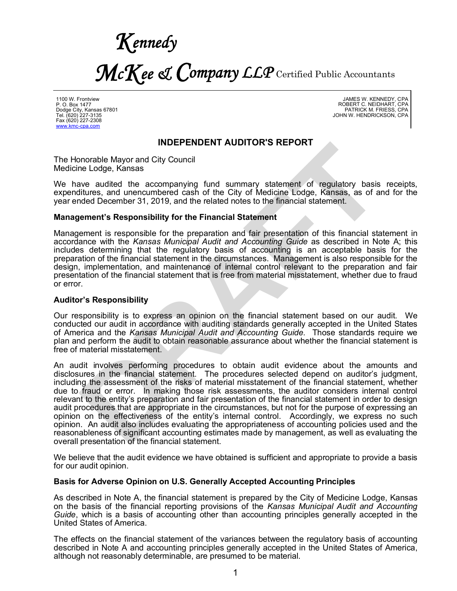*Kennedy McKee & Company LLP* Certified Public Accountants

1100 W. Frontview P. O. Box 1477 Dodge City, Kansas 67801 Tel. (620) 227-3135 Fax (620) 227-2308 www.kmc-cpa.com

JAMES W. KENNEDY, CPA ROBERT C. NEIDHART, CPA PATRICK M. FRIESS, CPA JOHN W. HENDRICKSON, CPA

#### **INDEPENDENT AUDITOR'S REPORT**

The Honorable Mayor and City Council Medicine Lodge, Kansas

We have audited the accompanying fund summary statement of regulatory basis receipts, expenditures, and unencumbered cash of the City of Medicine Lodge, Kansas, as of and for the year ended December 31, 2019, and the related notes to the financial statement.

#### **Management's Responsibility for the Financial Statement**

Management is responsible for the preparation and fair presentation of this financial statement in accordance with the *Kansas Municipal Audit and Accounting Guide* as described in Note A; this includes determining that the regulatory basis of accounting is an acceptable basis for the preparation of the financial statement in the circumstances. Management is also responsible for the design, implementation, and maintenance of internal control relevant to the preparation and fair presentation of the financial statement that is free from material misstatement, whether due to fraud or error.

#### **Auditor's Responsibility**

Our responsibility is to express an opinion on the financial statement based on our audit. We conducted our audit in accordance with auditing standards generally accepted in the United States of America and the *Kansas Municipal Audit and Accounting Guide.* Those standards require we plan and perform the audit to obtain reasonable assurance about whether the financial statement is free of material misstatement.

An audit involves performing procedures to obtain audit evidence about the amounts and disclosures in the financial statement. The procedures selected depend on auditor's judgment, including the assessment of the risks of material misstatement of the financial statement, whether due to fraud or error. In making those risk assessments, the auditor considers internal control relevant to the entity's preparation and fair presentation of the financial statement in order to design audit procedures that are appropriate in the circumstances, but not for the purpose of expressing an opinion on the effectiveness of the entity's internal control. Accordingly, we express no such opinion. An audit also includes evaluating the appropriateness of accounting policies used and the reasonableness of significant accounting estimates made by management, as well as evaluating the overall presentation of the financial statement. **INDEPENDENT AUDITOR'S REPORT**<br>
ne Lodge, Kansas<br>
ave audited the accompanying fund summary statement of regulatory basis<br>
diverse, and unencumbered cash of the City of Medicine Lodge, Kansas,<br>
and ded December 31, 2019, a

We believe that the audit evidence we have obtained is sufficient and appropriate to provide a basis for our audit opinion.

#### **Basis for Adverse Opinion on U.S. Generally Accepted Accounting Principles**

As described in Note A, the financial statement is prepared by the City of Medicine Lodge, Kansas on the basis of the financial reporting provisions of the *Kansas Municipal Audit and Accounting Guide*, which is a basis of accounting other than accounting principles generally accepted in the United States of America.

The effects on the financial statement of the variances between the regulatory basis of accounting described in Note A and accounting principles generally accepted in the United States of America, although not reasonably determinable, are presumed to be material.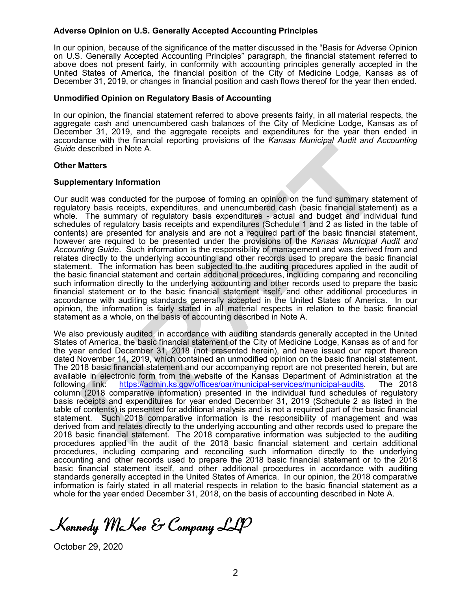#### **Adverse Opinion on U.S. Generally Accepted Accounting Principles**

In our opinion, because of the significance of the matter discussed in the "Basis for Adverse Opinion on U.S. Generally Accepted Accounting Principles" paragraph, the financial statement referred to above does not present fairly, in conformity with accounting principles generally accepted in the United States of America, the financial position of the City of Medicine Lodge, Kansas as of December 31, 2019, or changes in financial position and cash flows thereof for the year then ended.

#### **Unmodified Opinion on Regulatory Basis of Accounting**

In our opinion, the financial statement referred to above presents fairly, in all material respects, the aggregate cash and unencumbered cash balances of the City of Medicine Lodge, Kansas as of December 31, 2019, and the aggregate receipts and expenditures for the year then ended in accordance with the financial reporting provisions of the *Kansas Municipal Audit and Accounting Guide* described in Note A.

#### **Other Matters**

#### **Supplementary Information**

Our audit was conducted for the purpose of forming an opinion on the fund summary statement of regulatory basis receipts, expenditures, and unencumbered cash (basic financial statement) as a whole. The summary of regulatory basis expenditures - actual and budget and individual fund schedules of regulatory basis receipts and expenditures (Schedule 1 and 2 as listed in the table of contents) are presented for analysis and are not a required part of the basic financial statement, however are required to be presented under the provisions of the *Kansas Municipal Audit and Accounting Guide*. Such information is the responsibility of management and was derived from and relates directly to the underlying accounting and other records used to prepare the basic financial statement. The information has been subjected to the auditing procedures applied in the audit of the basic financial statement and certain additional procedures, including comparing and reconciling such information directly to the underlying accounting and other records used to prepare the basic financial statement or to the basic financial statement itself, and other additional procedures in accordance with auditing standards generally accepted in the United States of America. In our opinion, the information is fairly stated in all material respects in relation to the basic financial statement as a whole, on the basis of accounting described in Note A. and<br>easer the theminicial repoting provisions of the *Karisas wuniterpar Addit and*<br>described in Note A.<br>**Matters**<br>**Matters**<br>**Example 2. DRAFT CONDITIES** approximation of the function of the function of the summary of re

We also previously audited, in accordance with auditing standards generally accepted in the United States of America, the basic financial statement of the City of Medicine Lodge, Kansas as of and for the year ended December 31, 2018 (not presented herein), and have issued our report thereon dated November 14, 2019, which contained an unmodified opinion on the basic financial statement. The 2018 basic financial statement and our accompanying report are not presented herein, but are available in electronic form from the website of the Kansas Department of Administration at the following link: https://admin.ks.gov/offices/oar/municipal-services/municipal-audits. The 2018 https://admin.ks.gov/offices/oar/municipal-services/municipal-audits. The 2018 column (2018 comparative information) presented in the individual fund schedules of regulatory basis receipts and expenditures for year ended December 31, 2019 (Schedule 2 as listed in the table of contents) is presented for additional analysis and is not a required part of the basic financial statement. Such 2018 comparative information is the responsibility of management and was derived from and relates directly to the underlying accounting and other records used to prepare the 2018 basic financial statement. The 2018 comparative information was subjected to the auditing procedures applied in the audit of the 2018 basic financial statement and certain additional procedures, including comparing and reconciling such information directly to the underlying accounting and other records used to prepare the 2018 basic financial statement or to the 2018 basic financial statement itself, and other additional procedures in accordance with auditing standards generally accepted in the United States of America. In our opinion, the 2018 comparative information is fairly stated in all material respects in relation to the basic financial statement as a whole for the year ended December 31, 2018, on the basis of accounting described in Note A.

*Kennedy McKee & Company LLP*

October 29, 2020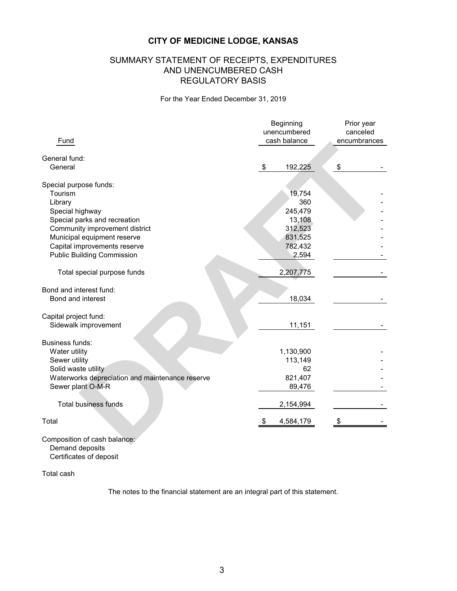## SUMMARY STATEMENT OF RECEIPTS, EXPENDITURES AND UNENCUMBERED CASH REGULATORY BASIS

For the Year Ended December 31, 2019

|                                                 | Beginning<br>unencumbered | Prior year<br>canceled |  |  |
|-------------------------------------------------|---------------------------|------------------------|--|--|
| Fund                                            | cash balance              | encumbrances           |  |  |
| General fund:                                   |                           |                        |  |  |
| General                                         | \$<br>192,225             | \$                     |  |  |
| Special purpose funds:                          |                           |                        |  |  |
| Tourism                                         | 19,754                    |                        |  |  |
| Library                                         | 360                       |                        |  |  |
| Special highway                                 | 245,479                   |                        |  |  |
| Special parks and recreation                    | 13,108                    |                        |  |  |
| Community improvement district                  | 312,523                   |                        |  |  |
| Municipal equipment reserve                     | 831,525                   |                        |  |  |
| Capital improvements reserve                    | 782,432                   |                        |  |  |
| <b>Public Building Commission</b>               | 2,594                     |                        |  |  |
| Total special purpose funds                     | 2,207,775                 |                        |  |  |
| Bond and interest fund:                         |                           |                        |  |  |
| Bond and interest                               | 18,034                    |                        |  |  |
| Capital project fund:                           |                           |                        |  |  |
| Sidewalk improvement                            | 11,151                    |                        |  |  |
| Business funds:                                 |                           |                        |  |  |
| Water utility                                   | 1,130,900                 |                        |  |  |
| Sewer utility                                   | 113,149                   |                        |  |  |
| Solid waste utility                             | 62                        |                        |  |  |
| Waterworks depreciation and maintenance reserve | 821,407                   |                        |  |  |
| Sewer plant O-M-R                               | 89,476                    |                        |  |  |
| <b>Total business funds</b>                     | 2,154,994                 |                        |  |  |
| Total                                           | 4,584,179<br>\$           | S                      |  |  |
| Composition of cash balance:                    |                           |                        |  |  |

Composition of cash balance: Demand deposits Certificates of deposit

Total cash

The notes to the financial statement are an integral part of this statement.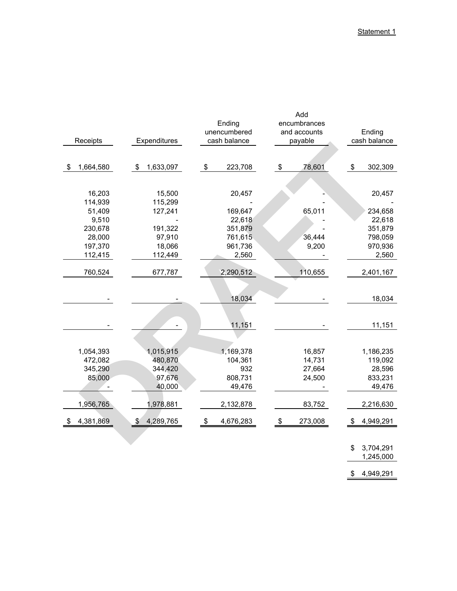|                   |                 | Ending          | Add<br>encumbrances |                |  |  |  |  |
|-------------------|-----------------|-----------------|---------------------|----------------|--|--|--|--|
|                   |                 | unencumbered    | and accounts        | Ending         |  |  |  |  |
| Receipts          | Expenditures    | cash balance    | payable             | cash balance   |  |  |  |  |
|                   |                 |                 |                     |                |  |  |  |  |
| 1,664,580<br>\$   | \$<br>1,633,097 | \$<br>223,708   | 78,601<br>\$        | \$<br>302,309  |  |  |  |  |
|                   |                 |                 |                     |                |  |  |  |  |
| 16,203            | 15,500          | 20,457          |                     | 20,457         |  |  |  |  |
|                   | 115,299         |                 |                     |                |  |  |  |  |
| 114,939<br>51,409 | 127,241         | 169,647         | 65,011              | 234,658        |  |  |  |  |
| 9,510             |                 | 22,618          |                     | 22,618         |  |  |  |  |
| 230,678           | 191,322         | 351,879         |                     | 351,879        |  |  |  |  |
| 28,000            | 97,910          | 761,615         | 36,444              | 798,059        |  |  |  |  |
| 197,370           | 18,066          |                 |                     | 970,936        |  |  |  |  |
| 112,415           | 112,449         | 2,560           | 961,736<br>9,200    |                |  |  |  |  |
|                   |                 |                 |                     | 2,560          |  |  |  |  |
| 760,524           | 677,787         | 2,290,512       | 110,655             | 2,401,167      |  |  |  |  |
|                   |                 |                 |                     |                |  |  |  |  |
|                   |                 | 18,034          |                     | 18,034         |  |  |  |  |
|                   |                 |                 |                     |                |  |  |  |  |
|                   |                 | 11,151          |                     | 11,151         |  |  |  |  |
|                   |                 |                 |                     |                |  |  |  |  |
|                   |                 |                 |                     |                |  |  |  |  |
| 1,054,393         | 1,015,915       | 1,169,378       | 16,857              | 1,186,235      |  |  |  |  |
| 472,082           | 480,870         | 104,361         | 14,731              | 119,092        |  |  |  |  |
| 345,290           | 344,420         | 932             | 27,664              | 28,596         |  |  |  |  |
| 85,000            | 97,676          | 808,731         | 24,500              | 833,231        |  |  |  |  |
|                   | 40,000          | 49,476          |                     | 49,476         |  |  |  |  |
| 1,956,765         | 1,978,881       | 2,132,878       | 83,752              | 2,216,630      |  |  |  |  |
| 4,381,869         | \$<br>4,289,765 | 4,676,283<br>\$ | 273,008<br>S        | 4,949,291<br>S |  |  |  |  |
|                   |                 |                 |                     |                |  |  |  |  |
|                   |                 |                 |                     |                |  |  |  |  |

\$ 3,704,291 1,245,000

\$ 4,949,291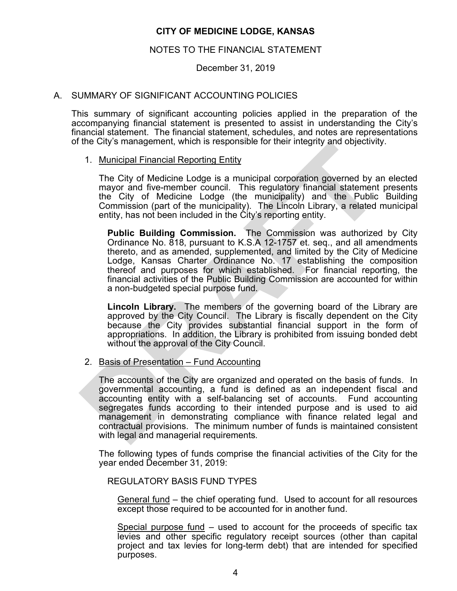#### NOTES TO THE FINANCIAL STATEMENT

December 31, 2019

## A. SUMMARY OF SIGNIFICANT ACCOUNTING POLICIES

This summary of significant accounting policies applied in the preparation of the accompanying financial statement is presented to assist in understanding the City's financial statement. The financial statement, schedules, and notes are representations of the City's management, which is responsible for their integrity and objectivity.

#### 1. Municipal Financial Reporting Entity

The City of Medicine Lodge is a municipal corporation governed by an elected mayor and five-member council. This regulatory financial statement presents the City of Medicine Lodge (the municipality) and the Public Building Commission (part of the municipality). The Lincoln Library, a related municipal entity, has not been included in the City's reporting entity.

**Public Building Commission.** The Commission was authorized by City Ordinance No. 818, pursuant to K.S.A 12-1757 et. seq., and all amendments thereto, and as amended, supplemented, and limited by the City of Medicine Lodge, Kansas Charter Ordinance No. 17 establishing the composition thereof and purposes for which established. For financial reporting, the financial activities of the Public Building Commission are accounted for within a non-budgeted special purpose fund.

**Lincoln Library.** The members of the governing board of the Library are approved by the City Council. The Library is fiscally dependent on the City because the City provides substantial financial support in the form of appropriations. In addition, the Library is prohibited from issuing bonded debt without the approval of the City Council.

2. Basis of Presentation – Fund Accounting

 The accounts of the City are organized and operated on the basis of funds. In governmental accounting, a fund is defined as an independent fiscal and accounting entity with a self-balancing set of accounts. Fund accounting segregates funds according to their intended purpose and is used to aid management in demonstrating compliance with finance related legal and contractual provisions. The minimum number of funds is maintained consistent with legal and managerial requirements. The City's management, which is responsible for their integrity and objectivity<br>
The City of Medicine Lodge is a municipal corporation governed by a<br>
mayor and five-member conncil. This regulatory finnerial that enter<br>
the

 The following types of funds comprise the financial activities of the City for the year ended December 31, 2019:

#### REGULATORY BASIS FUND TYPES

General fund – the chief operating fund. Used to account for all resources except those required to be accounted for in another fund.

Special purpose fund – used to account for the proceeds of specific tax levies and other specific regulatory receipt sources (other than capital project and tax levies for long-term debt) that are intended for specified purposes.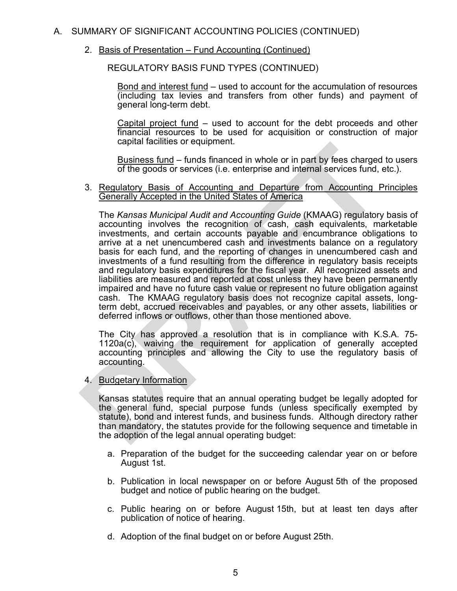## A. SUMMARY OF SIGNIFICANT ACCOUNTING POLICIES (CONTINUED)

2. Basis of Presentation – Fund Accounting (Continued)

REGULATORY BASIS FUND TYPES (CONTINUED)

Bond and interest fund – used to account for the accumulation of resources (including tax levies and transfers from other funds) and payment of general long-term debt.

Capital project fund – used to account for the debt proceeds and other financial resources to be used for acquisition or construction of major capital facilities or equipment.

Business fund – funds financed in whole or in part by fees charged to users of the goods or services (i.e. enterprise and internal services fund, etc.).

 3. Regulatory Basis of Accounting and Departure from Accounting Principles Generally Accepted in the United States of America

The *Kansas Municipal Audit and Accounting Guide* (KMAAG) regulatory basis of accounting involves the recognition of cash, cash equivalents, marketable investments, and certain accounts payable and encumbrance obligations to arrive at a net unencumbered cash and investments balance on a regulatory basis for each fund, and the reporting of changes in unencumbered cash and investments of a fund resulting from the difference in regulatory basis receipts and regulatory basis expenditures for the fiscal year. All recognized assets and liabilities are measured and reported at cost unless they have been permanently impaired and have no future cash value or represent no future obligation against cash. The KMAAG regulatory basis does not recognize capital assets, longterm debt, accrued receivables and payables, or any other assets, liabilities or deferred inflows or outflows, other than those mentioned above. capital facilities or equipment.<br>
<u>Business fund</u> – funds financed in whole or in part by fees charged<br>
Simes finances in the goods or services (i.e. enterprise and internal services fund,<br>
3. Requiatery Basis of Accountin

 The City has approved a resolution that is in compliance with K.S.A. 75- 1120a(c), waiving the requirement for application of generally accepted accounting principles and allowing the City to use the regulatory basis of accounting.

4. Budgetary Information

Kansas statutes require that an annual operating budget be legally adopted for the general fund, special purpose funds (unless specifically exempted by statute), bond and interest funds, and business funds. Although directory rather than mandatory, the statutes provide for the following sequence and timetable in the adoption of the legal annual operating budget:

- a. Preparation of the budget for the succeeding calendar year on or before August 1st.
- b. Publication in local newspaper on or before August 5th of the proposed budget and notice of public hearing on the budget.
- c. Public hearing on or before August 15th, but at least ten days after publication of notice of hearing.
- d. Adoption of the final budget on or before August 25th.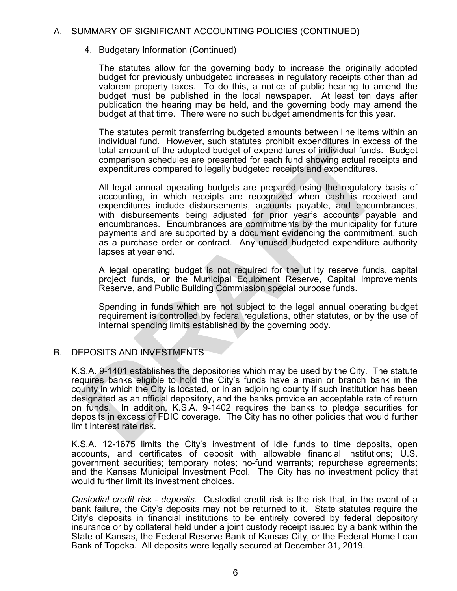## A. SUMMARY OF SIGNIFICANT ACCOUNTING POLICIES (CONTINUED)

## 4. Budgetary Information (Continued)

The statutes allow for the governing body to increase the originally adopted budget for previously unbudgeted increases in regulatory receipts other than ad valorem property taxes. To do this, a notice of public hearing to amend the budget must be published in the local newspaper. At least ten days after publication the hearing may be held, and the governing body may amend the budget at that time. There were no such budget amendments for this year.

The statutes permit transferring budgeted amounts between line items within an individual fund. However, such statutes prohibit expenditures in excess of the total amount of the adopted budget of expenditures of individual funds. Budget comparison schedules are presented for each fund showing actual receipts and expenditures compared to legally budgeted receipts and expenditures.

All legal annual operating budgets are prepared using the regulatory basis of accounting, in which receipts are recognized when cash is received and expenditures include disbursements, accounts payable, and encumbrances, with disbursements being adjusted for prior year's accounts payable and encumbrances. Encumbrances are commitments by the municipality for future payments and are supported by a document evidencing the commitment, such as a purchase order or contract. Any unused budgeted expenditure authority lapses at year end. Individual time. However, such statellar beyonal texponitives in excess<br>total amount of the adopted budget of expenditures of individual funds<br>comparison schedules are presented for each fund showing actual rece<br>expenditur

A legal operating budget is not required for the utility reserve funds, capital project funds, or the Municipal Equipment Reserve, Capital Improvements Reserve, and Public Building Commission special purpose funds.

Spending in funds which are not subject to the legal annual operating budget requirement is controlled by federal regulations, other statutes, or by the use of internal spending limits established by the governing body.

## B. DEPOSITS AND INVESTMENTS

K.S.A. 9-1401 establishes the depositories which may be used by the City. The statute requires banks eligible to hold the City's funds have a main or branch bank in the county in which the City is located, or in an adjoining county if such institution has been designated as an official depository, and the banks provide an acceptable rate of return on funds. In addition, K.S.A. 9-1402 requires the banks to pledge securities for deposits in excess of FDIC coverage. The City has no other policies that would further limit interest rate risk.

K.S.A. 12-1675 limits the City's investment of idle funds to time deposits, open accounts, and certificates of deposit with allowable financial institutions; U.S. government securities; temporary notes; no-fund warrants; repurchase agreements; and the Kansas Municipal Investment Pool. The City has no investment policy that would further limit its investment choices.

*Custodial credit risk - deposits*. Custodial credit risk is the risk that, in the event of a bank failure, the City's deposits may not be returned to it. State statutes require the City's deposits in financial institutions to be entirely covered by federal depository insurance or by collateral held under a joint custody receipt issued by a bank within the State of Kansas, the Federal Reserve Bank of Kansas City, or the Federal Home Loan Bank of Topeka. All deposits were legally secured at December 31, 2019.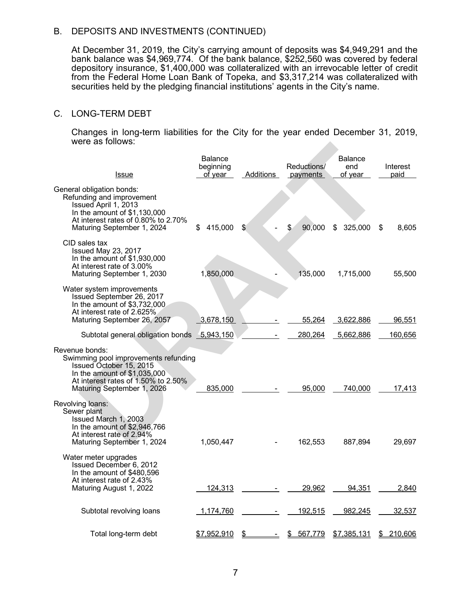## B. DEPOSITS AND INVESTMENTS (CONTINUED)

At December 31, 2019, the City's carrying amount of deposits was \$4,949,291 and the bank balance was \$4,969,774. Of the bank balance, \$252,560 was covered by federal depository insurance, \$1,400,000 was collateralized with an irrevocable letter of credit from the Federal Home Loan Bank of Topeka, and \$3,317,214 was collateralized with securities held by the pledging financial institutions' agents in the City's name.

#### C. LONG-TERM DEBT

Changes in long-term liabilities for the City for the year ended December 31, 2019, were as follows:

| were as follows:                                                                                                                                                                        |                                        |           |                         |                                  |                  |
|-----------------------------------------------------------------------------------------------------------------------------------------------------------------------------------------|----------------------------------------|-----------|-------------------------|----------------------------------|------------------|
| <b>Issue</b>                                                                                                                                                                            | <b>Balance</b><br>beginning<br>of year | Additions | Reductions/<br>payments | <b>Balance</b><br>end<br>of year | Interest<br>paid |
| General obligation bonds:<br>Refunding and improvement<br>Issued April 1, 2013<br>In the amount of $$1,130,000$<br>At interest rates of 0.80% to 2.70%<br>Maturing September 1, 2024    | \$<br>415,000                          | \$        | 90,000<br>\$            | 325,000<br>\$                    | \$<br>8,605      |
| CID sales tax<br>Issued May 23, 2017<br>In the amount of \$1,930,000<br>At interest rate of 3.00%<br>Maturing September 1, 2030                                                         | 1,850,000                              |           | 135,000                 | 1,715,000                        | 55,500           |
| Water system improvements<br>Issued September 26, 2017<br>In the amount of \$3,732,000<br>At interest rate of 2.625%<br>Maturing September 26, 2057                                     | 3,678,150                              |           | 55,264                  | 3,622,886                        | 96,551           |
| Subtotal general obligation bonds 5,943,150                                                                                                                                             |                                        |           | 280,264                 | 5,662,886                        | 160,656          |
| Revenue bonds:<br>Swimming pool improvements refunding<br>Issued October 15, 2015<br>In the amount of $$1,035,000$<br>At interest rates of 1.50% to 2.50%<br>Maturing September 1, 2026 | 835,000                                |           | 95,000                  | 740,000                          | 17,413           |
| Revolving loans:<br>Sewer plant<br>Issued March 1, 2003<br>In the amount of \$2,946,766<br>At interest rate of 2.94%<br>Maturing September 1, 2024                                      | 1,050,447                              |           | 162,553                 | 887,894                          | 29,697           |
| Water meter upgrades<br>Issued December 6, 2012<br>In the amount of \$480,596<br>At interest rate of 2.43%<br>Maturing August 1, 2022                                                   | 124,313                                |           | 29,962                  | 94,351                           | 2,840            |
| Subtotal revolving loans                                                                                                                                                                | 1,174,760                              |           | 192,515                 | 982,245                          | 32,537           |
| Total long-term debt                                                                                                                                                                    | \$7,952,910                            | \$        | 567,779<br>\$           | \$7,385,131                      | \$210,606        |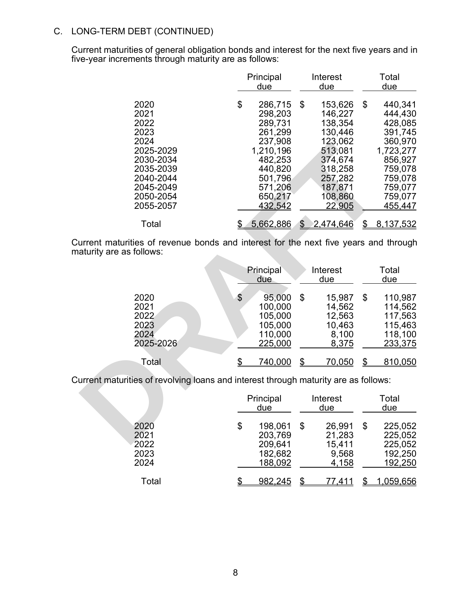# C. LONG-TERM DEBT (CONTINUED)

Current maturities of general obligation bonds and interest for the next five years and in five-year increments through maturity are as follows:

|                                                                                                                                 | Principal<br>due                                                                                                                         |    | Interest<br>due                                                                                                                 |    | Total<br>due                                                                                                                       |
|---------------------------------------------------------------------------------------------------------------------------------|------------------------------------------------------------------------------------------------------------------------------------------|----|---------------------------------------------------------------------------------------------------------------------------------|----|------------------------------------------------------------------------------------------------------------------------------------|
| 2020<br>2021<br>2022<br>2023<br>2024<br>2025-2029<br>2030-2034<br>2035-2039<br>2040-2044<br>2045-2049<br>2050-2054<br>2055-2057 | \$<br>286,715<br>298,203<br>289,731<br>261,299<br>237,908<br>1,210,196<br>482,253<br>440,820<br>501,796<br>571,206<br>650,217<br>432,542 | \$ | 153,626<br>146,227<br>138,354<br>130,446<br>123,062<br>513,081<br>374,674<br>318,258<br>257,282<br>187,871<br>108,860<br>22,905 | \$ | 440,341<br>444,430<br>428,085<br>391,745<br>360,970<br>1,723,277<br>856,927<br>759,078<br>759,078<br>759,077<br>759,077<br>455,447 |
| Total                                                                                                                           | \$<br>5,662,886                                                                                                                          |    | 2,474,646                                                                                                                       |    | 8,137,532                                                                                                                          |

| 2024<br>2025-2029<br>2030-2034<br>2035-2039<br>2040-2044<br>2045-2049<br>2050-2054<br>2055-2057                 | 237,908<br>1,210,196<br>482,253<br>440,820<br>501,796<br>571,206<br>650,217<br><u>432,542</u> | 123,062<br>513,081<br>374,674<br>318,258<br>257,282<br>187,871<br>108,860<br>22,905 | 360,970<br>1,723,277<br>856,927<br>759,078<br>759,078<br>759,077<br>759,077<br>455,447 |
|-----------------------------------------------------------------------------------------------------------------|-----------------------------------------------------------------------------------------------|-------------------------------------------------------------------------------------|----------------------------------------------------------------------------------------|
| Total                                                                                                           | 5,662,886<br>\$                                                                               | 2,474,646<br>$\mathbb{S}$                                                           | \$<br>8,137,532                                                                        |
| urrent maturities of revenue bonds and interest for the next five years and through<br>naturity are as follows: |                                                                                               |                                                                                     |                                                                                        |
|                                                                                                                 | Principal<br>due                                                                              | Interest<br><u>due</u>                                                              | Total<br>due                                                                           |
| 2020<br>2021<br>2022<br>2023<br>2024<br>2025-2026                                                               | \$<br>95,000<br>100,000<br>105,000<br>105,000<br>110,000<br>225,000                           | $\mathfrak{L}$<br>15,987<br>14,562<br>12,563<br>10,463<br>8,100<br>8,375            | \$<br>110,987<br>114,562<br>117,563<br>115,463<br>118,100<br>233,375                   |
| Total                                                                                                           | \$<br>740,000                                                                                 | \$<br>70,050                                                                        | \$<br>810,050                                                                          |
| urrent maturities of revolving loans and interest through maturity are as follows:                              |                                                                                               |                                                                                     |                                                                                        |
|                                                                                                                 | Principal<br>due                                                                              | Interest<br>due                                                                     | Total<br>due                                                                           |
| 2020<br>2021<br>ממ∩מ                                                                                            | \$<br>198,061<br>203,769<br>200 R11                                                           | \$<br>26,991<br>21,283<br>15111                                                     | \$<br>225,052<br>225,052<br>つつに ハにつ                                                    |

|                                      | Principal<br>due                                          |    | Interest<br>due                              | Total<br>due                                              |
|--------------------------------------|-----------------------------------------------------------|----|----------------------------------------------|-----------------------------------------------------------|
| 2020<br>2021<br>2022<br>2023<br>2024 | \$<br>198,061<br>203,769<br>209,641<br>182,682<br>188,092 | \$ | 26,991<br>21,283<br>15,411<br>9,568<br>4,158 | \$<br>225,052<br>225,052<br>225,052<br>192,250<br>192,250 |
| Total                                | 982,245                                                   |    | 77.411                                       | <u>1,059,656</u>                                          |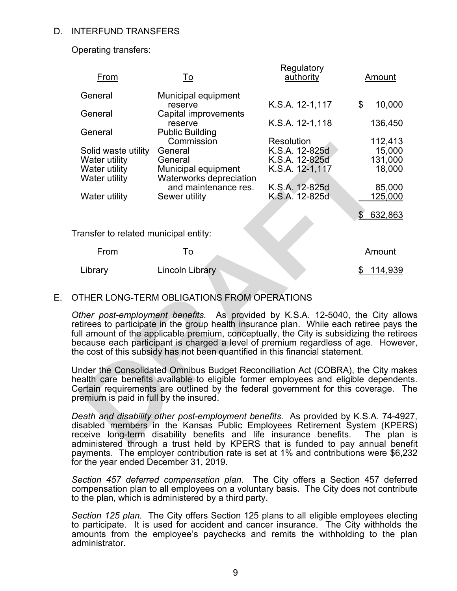## D. INTERFUND TRANSFERS

Operating transfers:

| From                                                                                                                                                                                                                                                                                                                       | To                                                                                                                                                                                                                                                                                                                                                                                                                                 | Regulatory<br>authority      | Amount                   |  |  |  |  |  |
|----------------------------------------------------------------------------------------------------------------------------------------------------------------------------------------------------------------------------------------------------------------------------------------------------------------------------|------------------------------------------------------------------------------------------------------------------------------------------------------------------------------------------------------------------------------------------------------------------------------------------------------------------------------------------------------------------------------------------------------------------------------------|------------------------------|--------------------------|--|--|--|--|--|
| General                                                                                                                                                                                                                                                                                                                    | Municipal equipment                                                                                                                                                                                                                                                                                                                                                                                                                |                              |                          |  |  |  |  |  |
| General                                                                                                                                                                                                                                                                                                                    | reserve<br>Capital improvements                                                                                                                                                                                                                                                                                                                                                                                                    | K.S.A. 12-1,117              | \$<br>10,000             |  |  |  |  |  |
|                                                                                                                                                                                                                                                                                                                            | reserve                                                                                                                                                                                                                                                                                                                                                                                                                            | K.S.A. 12-1,118              | 136,450                  |  |  |  |  |  |
| General                                                                                                                                                                                                                                                                                                                    | <b>Public Building</b>                                                                                                                                                                                                                                                                                                                                                                                                             |                              |                          |  |  |  |  |  |
| Solid waste utility                                                                                                                                                                                                                                                                                                        | Commission<br>General                                                                                                                                                                                                                                                                                                                                                                                                              | Resolution<br>K.S.A. 12-825d | 112,413<br>15,000        |  |  |  |  |  |
| Water utility                                                                                                                                                                                                                                                                                                              | General                                                                                                                                                                                                                                                                                                                                                                                                                            | K.S.A. 12-825d               | 131,000                  |  |  |  |  |  |
| Water utility                                                                                                                                                                                                                                                                                                              | Municipal equipment                                                                                                                                                                                                                                                                                                                                                                                                                | K.S.A. 12-1,117              | 18,000                   |  |  |  |  |  |
| Water utility                                                                                                                                                                                                                                                                                                              | Waterworks depreciation                                                                                                                                                                                                                                                                                                                                                                                                            |                              |                          |  |  |  |  |  |
|                                                                                                                                                                                                                                                                                                                            | and maintenance res.                                                                                                                                                                                                                                                                                                                                                                                                               | K.S.A. 12-825d               | 85,000                   |  |  |  |  |  |
| Water utility                                                                                                                                                                                                                                                                                                              | Sewer utility                                                                                                                                                                                                                                                                                                                                                                                                                      | K.S.A. 12-825d               | 125,000                  |  |  |  |  |  |
|                                                                                                                                                                                                                                                                                                                            |                                                                                                                                                                                                                                                                                                                                                                                                                                    |                              | $\mathcal{S}$<br>632,863 |  |  |  |  |  |
| Transfer to related municipal entity:                                                                                                                                                                                                                                                                                      |                                                                                                                                                                                                                                                                                                                                                                                                                                    |                              |                          |  |  |  |  |  |
| From                                                                                                                                                                                                                                                                                                                       | To                                                                                                                                                                                                                                                                                                                                                                                                                                 |                              | Amount                   |  |  |  |  |  |
|                                                                                                                                                                                                                                                                                                                            | <b>Lincoln Library</b>                                                                                                                                                                                                                                                                                                                                                                                                             |                              |                          |  |  |  |  |  |
| Library                                                                                                                                                                                                                                                                                                                    |                                                                                                                                                                                                                                                                                                                                                                                                                                    |                              | <u> 114,939</u><br>\$    |  |  |  |  |  |
|                                                                                                                                                                                                                                                                                                                            |                                                                                                                                                                                                                                                                                                                                                                                                                                    |                              |                          |  |  |  |  |  |
|                                                                                                                                                                                                                                                                                                                            | OTHER LONG-TERM OBLIGATIONS FROM OPERATIONS                                                                                                                                                                                                                                                                                                                                                                                        |                              |                          |  |  |  |  |  |
|                                                                                                                                                                                                                                                                                                                            | Other post-employment benefits. As provided by K.S.A. 12-5040, the City allo<br>retirees to participate in the group health insurance plan. While each retiree pays<br>full amount of the applicable premium, conceptually, the City is subsidizing the retire<br>because each participant is charged a level of premium regardless of age. Howev<br>the cost of this subsidy has not been quantified in this financial statement. |                              |                          |  |  |  |  |  |
| premium is paid in full by the insured.                                                                                                                                                                                                                                                                                    | Under the Consolidated Omnibus Budget Reconciliation Act (COBRA), the City mak<br>health care benefits available to eligible former employees and eligible depender<br>Certain requirements are outlined by the federal government for this coverage. T                                                                                                                                                                            |                              |                          |  |  |  |  |  |
| Death and disability other post-employment benefits. As provided by K.S.A. 74-49.<br>disabled members in the Kansas Public Employees Retirement System (KPEF<br>receive long-term disability benefits and life insurance benefits. The plan<br>administered through a trust held by KDERS that is funded to nay annual hen |                                                                                                                                                                                                                                                                                                                                                                                                                                    |                              |                          |  |  |  |  |  |

## E. OTHER LONG-TERM OBLIGATIONS FROM OPERATIONS

*Death and disability other post-employment benefits.* As provided by K.S.A. 74-4927, disabled members in the Kansas Public Employees Retirement System (KPERS) receive long-term disability benefits and life insurance benefits. The plan is administered through a trust held by KPERS that is funded to pay annual benefit payments. The employer contribution rate is set at 1% and contributions were \$6,232 for the year ended December 31, 2019.

*Section 457 deferred compensation plan.* The City offers a Section 457 deferred compensation plan to all employees on a voluntary basis. The City does not contribute to the plan, which is administered by a third party.

*Section 125 plan.* The City offers Section 125 plans to all eligible employees electing to participate. It is used for accident and cancer insurance. The City withholds the amounts from the employee's paychecks and remits the withholding to the plan administrator.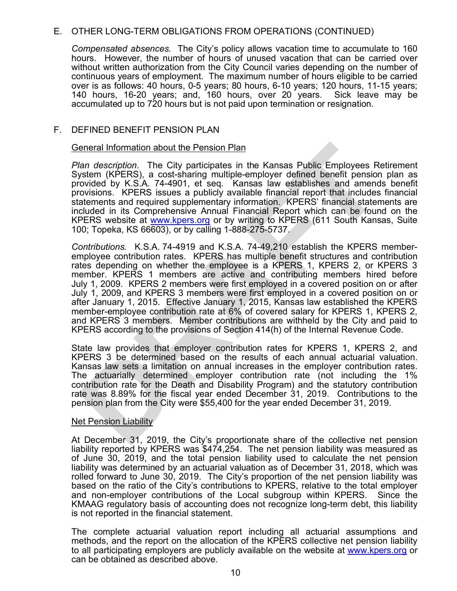## E. OTHER LONG-TERM OBLIGATIONS FROM OPERATIONS (CONTINUED)

*Compensated absences.* The City's policy allows vacation time to accumulate to 160 hours. However, the number of hours of unused vacation that can be carried over without written authorization from the City Council varies depending on the number of continuous years of employment. The maximum number of hours eligible to be carried over is as follows: 40 hours, 0-5 years; 80 hours, 6-10 years; 120 hours, 11-15 years; 140 hours, 16-20 years; and, 160 hours, over 20 years. Sick leave may be accumulated up to 720 hours but is not paid upon termination or resignation.

## F. DEFINED BENEFIT PENSION PLAN

#### General Information about the Pension Plan

*Plan description*. The City participates in the Kansas Public Employees Retirement System (KPERS), a cost-sharing multiple-employer defined benefit pension plan as provided by K.S.A. 74-4901, et seq. Kansas law establishes and amends benefit provisions. KPERS issues a publicly available financial report that includes financial statements and required supplementary information. KPERS' financial statements are included in its Comprehensive Annual Financial Report which can be found on the KPERS website at **www.kpers.org** or by writing to KPERS (611 South Kansas, Suite 100; Topeka, KS 66603), or by calling 1-888-275-5737.

*Contributions.* K.S.A. 74-4919 and K.S.A. 74-49,210 establish the KPERS memberemployee contribution rates. KPERS has multiple benefit structures and contribution rates depending on whether the employee is a KPERS 1, KPERS 2, or KPERS 3 member. KPERS 1 members are active and contributing members hired before July 1, 2009. KPERS 2 members were first employed in a covered position on or after July 1, 2009, and KPERS 3 members were first employed in a covered position on or after January 1, 2015. Effective January 1, 2015, Kansas law established the KPERS member-employee contribution rate at 6% of covered salary for KPERS 1, KPERS 2, and KPERS 3 members. Member contributions are withheld by the City and paid to KPERS according to the provisions of Section 414(h) of the Internal Revenue Code. ieneral Information about the Pension Plan<br>
Yan description. The City participates in the Kansas Public Employees Re<br>
System (KPERS), a cost-sharing multiple-employer defined benefit pension<br>
rovided by K.S.A. 74-4901, et

State law provides that employer contribution rates for KPERS 1, KPERS 2, and KPERS 3 be determined based on the results of each annual actuarial valuation. Kansas law sets a limitation on annual increases in the employer contribution rates. The actuarially determined employer contribution rate (not including the 1% contribution rate for the Death and Disability Program) and the statutory contribution rate was 8.89% for the fiscal year ended December 31, 2019. Contributions to the pension plan from the City were \$55,400 for the year ended December 31, 2019.

#### **Net Pension Liability**

At December 31, 2019, the City's proportionate share of the collective net pension liability reported by KPERS was \$474,254. The net pension liability was measured as of June 30, 2019, and the total pension liability used to calculate the net pension liability was determined by an actuarial valuation as of December 31, 2018, which was rolled forward to June 30, 2019. The City's proportion of the net pension liability was based on the ratio of the City's contributions to KPERS, relative to the total employer and non-employer contributions of the Local subgroup within KPERS. Since the KMAAG regulatory basis of accounting does not recognize long-term debt, this liability is not reported in the financial statement.

The complete actuarial valuation report including all actuarial assumptions and methods, and the report on the allocation of the KPERS collective net pension liability to all participating employers are publicly available on the website at www.kpers.org or can be obtained as described above.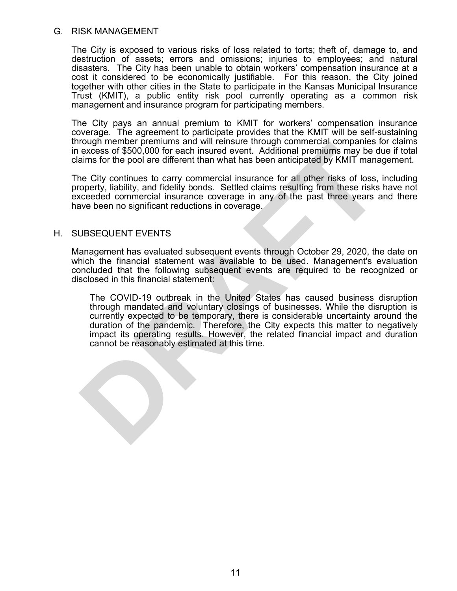#### G. RISK MANAGEMENT

The City is exposed to various risks of loss related to torts; theft of, damage to, and destruction of assets; errors and omissions; injuries to employees; and natural disasters. The City has been unable to obtain workers' compensation insurance at a cost it considered to be economically justifiable. For this reason, the City joined together with other cities in the State to participate in the Kansas Municipal Insurance Trust (KMIT), a public entity risk pool currently operating as a common risk management and insurance program for participating members.

The City pays an annual premium to KMIT for workers' compensation insurance coverage. The agreement to participate provides that the KMIT will be self-sustaining through member premiums and will reinsure through commercial companies for claims in excess of \$500,000 for each insured event. Additional premiums may be due if total claims for the pool are different than what has been anticipated by KMIT management.

The City continues to carry commercial insurance for all other risks of loss, including property, liability, and fidelity bonds. Settled claims resulting from these risks have not exceeded commercial insurance coverage in any of the past three years and there have been no significant reductions in coverage.

#### H. SUBSEQUENT EVENTS

Management has evaluated subsequent events through October 29, 2020, the date on which the financial statement was available to be used. Management's evaluation concluded that the following subsequent events are required to be recognized or disclosed in this financial statement:

The COVID-19 outbreak in the United States has caused business disruption through mandated and voluntary closings of businesses. While the disruption is currently expected to be temporary, there is considerable uncertainty around the duration of the pandemic. Therefore, the City expects this matter to negatively impact its operating results. However, the related financial impact and duration cannot be reasonably estimated at this time. rough member premiums and will rensure through commercial companies to excess of \$500,000 for each insured event. Additional premiums may be daims for the pool are different than what has been anticipated by KMIT manne Cit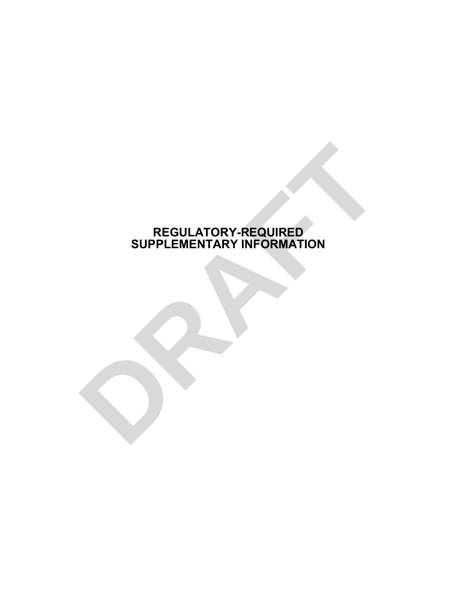# **REGULATORY-REQUIRED SUPPLEMENTARY INFORMATION** REGULATORY-REQUIRED<br>SUPPLEMENTARY INFORMATION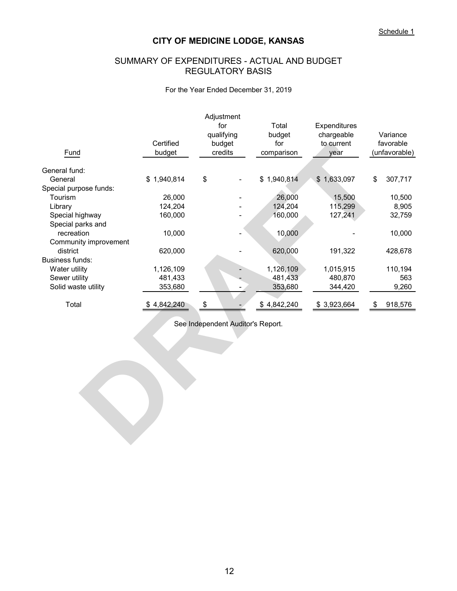## SUMMARY OF EXPENDITURES - ACTUAL AND BUDGET REGULATORY BASIS

#### For the Year Ended December 31, 2019

| Fund                   | Certified<br>budget | Adjustment<br>for<br>qualifying<br>budget<br>credits | Total<br>budget<br>for<br>comparison | Expenditures<br>chargeable<br>to current<br>year | Variance<br>favorable<br>(unfavorable) |
|------------------------|---------------------|------------------------------------------------------|--------------------------------------|--------------------------------------------------|----------------------------------------|
| General fund:          |                     |                                                      |                                      |                                                  |                                        |
| General                | \$1,940,814         | \$                                                   | \$1,940,814                          | \$1,633,097                                      | \$<br>307,717                          |
| Special purpose funds: |                     |                                                      |                                      |                                                  |                                        |
| Tourism                | 26,000              |                                                      | 26,000                               | 15,500                                           | 10,500                                 |
| Library                | 124,204             |                                                      | 124,204                              | 115,299                                          | 8,905                                  |
| Special highway        | 160,000             |                                                      | 160,000                              | 127,241                                          | 32,759                                 |
| Special parks and      |                     |                                                      |                                      |                                                  |                                        |
| recreation             | 10,000              |                                                      | 10,000                               |                                                  | 10,000                                 |
| Community improvement  |                     |                                                      |                                      |                                                  |                                        |
| district               | 620,000             |                                                      | 620,000                              | 191,322                                          | 428,678                                |
| <b>Business funds:</b> |                     |                                                      |                                      |                                                  |                                        |
| Water utility          | 1,126,109           |                                                      | 1,126,109                            | 1,015,915                                        | 110,194                                |
| Sewer utility          | 481,433             |                                                      | 481,433                              | 480,870                                          | 563                                    |
| Solid waste utility    | 353,680             |                                                      | 353,680                              | 344,420                                          | 9,260                                  |
| Total                  | \$4,842,240         | \$                                                   | \$4,842,240                          | \$3,923,664                                      | \$<br>918,576                          |
|                        |                     | See Independent Auditor's Report.                    |                                      |                                                  |                                        |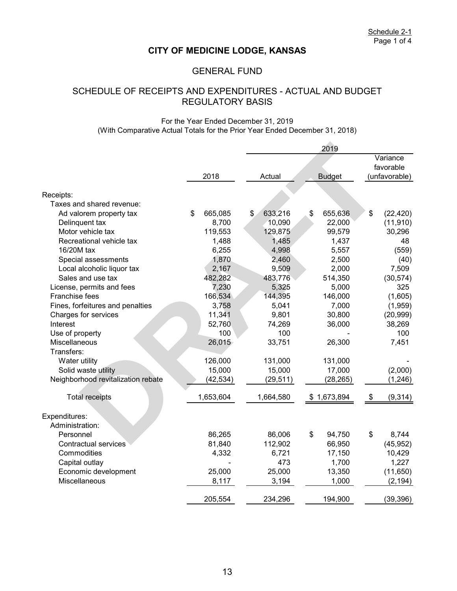## GENERAL FUND

# SCHEDULE OF RECEIPTS AND EXPENDITURES - ACTUAL AND BUDGET REGULATORY BASIS

#### For the Year Ended December 31, 2019 (With Comparative Actual Totals for the Prior Year Ended December 31, 2018)

|                                    |               | 2019 |           |          |               |    |               |
|------------------------------------|---------------|------|-----------|----------|---------------|----|---------------|
|                                    |               |      |           | Variance |               |    |               |
|                                    |               |      |           |          |               |    | favorable     |
|                                    | 2018          |      | Actual    |          | <b>Budget</b> |    | (unfavorable) |
|                                    |               |      |           |          |               |    |               |
| Receipts:                          |               |      |           |          |               |    |               |
| Taxes and shared revenue:          |               |      |           |          |               |    |               |
| Ad valorem property tax            | \$<br>665,085 | \$   | 633,216   | \$       | 655,636       | \$ | (22, 420)     |
| Delinquent tax                     | 8,700         |      | 10,090    |          | 22,000        |    | (11, 910)     |
| Motor vehicle tax                  | 119,553       |      | 129,875   |          | 99,579        |    | 30,296        |
| Recreational vehicle tax           | 1,488         |      | 1,485     |          | 1,437         |    | 48            |
| 16/20M tax                         | 6,255         |      | 4,998     |          | 5,557         |    | (559)         |
| Special assessments                | 1,870         |      | 2,460     |          | 2,500         |    | (40)          |
| Local alcoholic liquor tax         | 2,167         |      | 9,509     |          | 2,000         |    | 7,509         |
| Sales and use tax                  | 482,282       |      | 483,776   |          | 514,350       |    | (30, 574)     |
| License, permits and fees          | 7,230         |      | 5,325     |          | 5,000         |    | 325           |
| Franchise fees                     | 166,534       |      | 144,395   |          | 146,000       |    | (1,605)       |
| Fines, forfeitures and penalties   | 3,758         |      | 5,041     |          | 7,000         |    | (1,959)       |
| Charges for services               | 11,341        |      | 9,801     |          | 30,800        |    | (20, 999)     |
| Interest                           | 52,760        |      | 74,269    |          | 36,000        |    | 38,269        |
| Use of property                    | 100           |      | 100       |          |               |    | 100           |
| Miscellaneous                      | 26,015        |      | 33,751    |          | 26,300        |    | 7,451         |
| Transfers:                         |               |      |           |          |               |    |               |
| Water utility                      | 126,000       |      | 131,000   |          | 131,000       |    |               |
| Solid waste utility                | 15,000        |      | 15,000    |          | 17,000        |    | (2,000)       |
| Neighborhood revitalization rebate | (42,534)      |      | (29, 511) |          | (28, 265)     |    | (1, 246)      |
| <b>Total receipts</b>              | 1,653,604     |      | 1,664,580 |          | \$1,673,894   | \$ | (9, 314)      |
| Expenditures:                      |               |      |           |          |               |    |               |
| Administration:                    |               |      |           |          |               |    |               |
| Personnel                          | 86,265        |      | 86,006    | \$       | 94,750        | \$ | 8,744         |
| <b>Contractual services</b>        | 81,840        |      | 112,902   |          | 66,950        |    | (45, 952)     |
| Commodities                        | 4,332         |      | 6,721     |          | 17,150        |    | 10,429        |
| Capital outlay                     |               |      | 473       |          | 1,700         |    | 1,227         |
| Economic development               | 25,000        |      | 25,000    |          | 13,350        |    | (11,650)      |
| <b>Miscellaneous</b>               | 8,117         |      | 3,194     |          | 1,000         |    | (2, 194)      |
|                                    | 205,554       |      | 234,296   |          | 194,900       |    | (39, 396)     |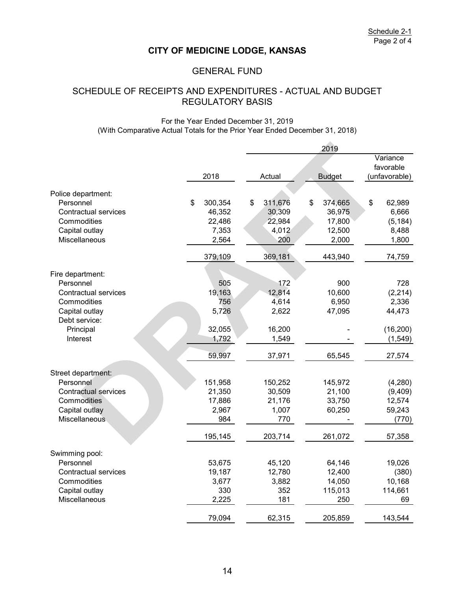## GENERAL FUND

## SCHEDULE OF RECEIPTS AND EXPENDITURES - ACTUAL AND BUDGET REGULATORY BASIS

#### For the Year Ended December 31, 2019 (With Comparative Actual Totals for the Prior Year Ended December 31, 2018)

|                                 |               |               | 2019          |               |
|---------------------------------|---------------|---------------|---------------|---------------|
|                                 |               |               | Variance      |               |
|                                 |               |               |               | favorable     |
|                                 | 2018          | Actual        | <b>Budget</b> | (unfavorable) |
| Police department:              |               |               |               |               |
| Personnel                       | \$<br>300,354 | \$<br>311,676 | \$<br>374,665 | \$<br>62,989  |
| <b>Contractual services</b>     | 46,352        | 30,309        | 36,975        | 6,666         |
| Commodities                     | 22,486        | 22,984        | 17,800        | (5, 184)      |
| Capital outlay                  | 7,353         | 4,012         | 12,500        | 8,488         |
| Miscellaneous                   | 2,564         | 200           | 2,000         | 1,800         |
|                                 | 379,109       | 369,181       | 443,940       | 74,759        |
|                                 |               |               |               |               |
| Fire department:                |               |               |               |               |
| Personnel                       | 505           | 172           | 900           | 728           |
| Contractual services            | 19,163        | 12,814        | 10,600        | (2, 214)      |
| Commodities                     | 756           | 4,614         | 6,950         | 2,336         |
| Capital outlay<br>Debt service: | 5,726         | 2,622         | 47,095        | 44,473        |
| Principal                       | 32,055        | 16,200        |               | (16, 200)     |
| Interest                        | 1,792         | 1,549         |               | (1, 549)      |
|                                 |               |               |               |               |
|                                 | 59,997        | 37,971        | 65,545        | 27,574        |
| Street department:              |               |               |               |               |
| Personnel                       | 151,958       | 150,252       | 145,972       | (4,280)       |
| <b>Contractual services</b>     | 21,350        | 30,509        | 21,100        | (9,409)       |
| Commodities                     | 17,886        | 21,176        | 33,750        | 12,574        |
| Capital outlay                  | 2,967         | 1,007         | 60,250        | 59,243        |
| <b>Miscellaneous</b>            | 984           | 770           |               | (770)         |
|                                 | 195,145       | 203,714       | 261,072       | 57,358        |
| Swimming pool:                  |               |               |               |               |
| Personnel                       | 53,675        | 45,120        | 64,146        | 19,026        |
| Contractual services            | 19,187        | 12,780        | 12,400        | (380)         |
| Commodities                     | 3,677         | 3,882         | 14,050        | 10,168        |
| Capital outlay                  | 330           | 352           | 115,013       | 114,661       |
| Miscellaneous                   | 2,225         | 181           | 250           | 69            |
|                                 | 79,094        | 62,315        | 205,859       | 143,544       |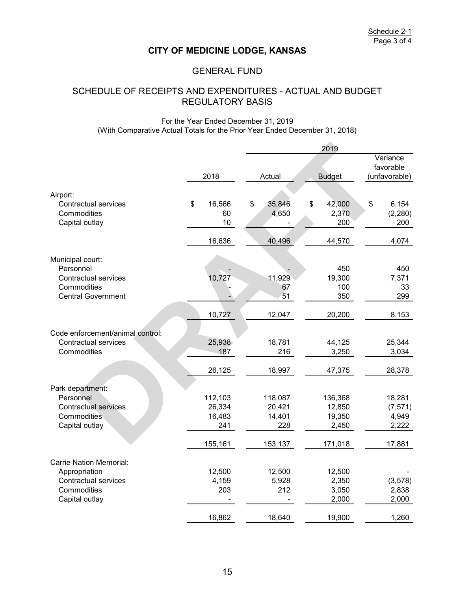## GENERAL FUND

# REGULATORY BASIS SCHEDULE OF RECEIPTS AND EXPENDITURES - ACTUAL AND BUDGET

#### For the Year Ended December 31, 2019 (With Comparative Actual Totals for the Prior Year Ended December 31, 2018)

|                                                                  |                          | 2019 |                    |    |                        |    |                          |
|------------------------------------------------------------------|--------------------------|------|--------------------|----|------------------------|----|--------------------------|
|                                                                  |                          |      |                    |    |                        |    | Variance<br>favorable    |
|                                                                  | 2018                     |      | Actual             |    | <b>Budget</b>          |    | (unfavorable)            |
| Airport:                                                         |                          |      |                    |    |                        |    |                          |
| <b>Contractual services</b><br>Commodities<br>Capital outlay     | \$<br>16,566<br>60<br>10 | \$   | 35,846<br>4,650    | \$ | 42,000<br>2,370<br>200 | \$ | 6,154<br>(2, 280)<br>200 |
|                                                                  | 16,636                   |      | 40,496             |    | 44,570                 |    | 4,074                    |
| Municipal court:<br>Personnel                                    |                          |      |                    |    | 450                    |    | 450                      |
| Contractual services<br>Commodities<br><b>Central Government</b> | 10,727                   |      | 11,929<br>67<br>51 |    | 19,300<br>100<br>350   |    | 7,371<br>33<br>299       |
|                                                                  | 10,727                   |      | 12,047             |    | 20,200                 |    | 8,153                    |
| Code enforcement/animal control:                                 |                          |      |                    |    |                        |    |                          |
| <b>Contractual services</b>                                      | 25,938                   |      | 18,781             |    | 44,125                 |    | 25,344                   |
| Commodities                                                      | 187                      |      | 216                |    | 3,250                  |    | 3,034                    |
|                                                                  | 26,125                   |      | 18,997             |    | 47,375                 |    | 28,378                   |
| Park department:                                                 |                          |      |                    |    |                        |    |                          |
| Personnel                                                        | 112,103                  |      | 118,087            |    | 136,368                |    | 18,281                   |
| <b>Contractual services</b>                                      | 26,334                   |      | 20,421             |    | 12,850                 |    | (7, 571)                 |
| Commodities                                                      | 16,483                   |      | 14,401             |    | 19,350                 |    | 4,949                    |
| Capital outlay                                                   | 241                      |      | 228                |    | 2,450                  |    | 2,222                    |
|                                                                  | 155,161                  |      | 153,137            |    | 171,018                |    | 17,881                   |
| <b>Carrie Nation Memorial:</b>                                   |                          |      |                    |    |                        |    |                          |
| Appropriation                                                    | 12,500                   |      | 12,500             |    | 12,500                 |    |                          |
| <b>Contractual services</b>                                      | 4,159                    |      | 5,928              |    | 2,350                  |    | (3, 578)                 |
| Commodities                                                      | 203                      |      | 212                |    | 3,050                  |    | 2,838                    |
| Capital outlay                                                   |                          |      |                    |    | 2,000                  |    | 2,000                    |
|                                                                  | 16,862                   |      | 18,640             |    | 19,900                 |    | 1,260                    |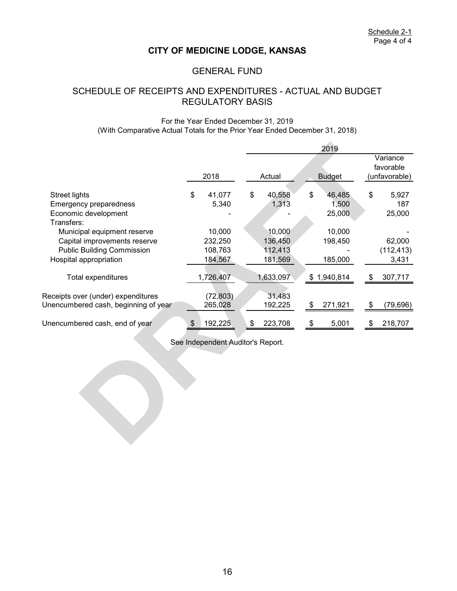## GENERAL FUND

## SCHEDULE OF RECEIPTS AND EXPENDITURES - ACTUAL AND BUDGET REGULATORY BASIS

#### For the Year Ended December 31, 2019 (With Comparative Actual Totals for the Prior Year Ended December 31, 2018)

|    |                                                                                                                    |         |                                                                                                                        | 2019    |                                                                                                       |                       |  |  |
|----|--------------------------------------------------------------------------------------------------------------------|---------|------------------------------------------------------------------------------------------------------------------------|---------|-------------------------------------------------------------------------------------------------------|-----------------------|--|--|
|    |                                                                                                                    |         |                                                                                                                        |         |                                                                                                       | Variance<br>favorable |  |  |
|    |                                                                                                                    |         |                                                                                                                        |         |                                                                                                       | (unfavorable)         |  |  |
|    |                                                                                                                    |         |                                                                                                                        |         |                                                                                                       | 5,927                 |  |  |
|    |                                                                                                                    |         |                                                                                                                        |         |                                                                                                       | 187                   |  |  |
|    |                                                                                                                    |         |                                                                                                                        |         |                                                                                                       | 25,000                |  |  |
|    |                                                                                                                    |         |                                                                                                                        |         |                                                                                                       |                       |  |  |
|    |                                                                                                                    |         |                                                                                                                        |         |                                                                                                       |                       |  |  |
|    |                                                                                                                    |         |                                                                                                                        |         |                                                                                                       | 62,000                |  |  |
|    |                                                                                                                    |         |                                                                                                                        |         |                                                                                                       | (112, 413)            |  |  |
|    |                                                                                                                    |         |                                                                                                                        |         |                                                                                                       | 3,431                 |  |  |
|    |                                                                                                                    |         |                                                                                                                        |         |                                                                                                       |                       |  |  |
|    |                                                                                                                    |         |                                                                                                                        |         | \$                                                                                                    | 307,717               |  |  |
|    |                                                                                                                    |         |                                                                                                                        |         |                                                                                                       |                       |  |  |
|    |                                                                                                                    | 31,483  |                                                                                                                        |         |                                                                                                       |                       |  |  |
|    |                                                                                                                    | 192,225 |                                                                                                                        | 271,921 | \$                                                                                                    | (79, 696)             |  |  |
|    |                                                                                                                    |         |                                                                                                                        |         |                                                                                                       |                       |  |  |
|    | \$                                                                                                                 | 223,708 | \$                                                                                                                     | 5,001   | \$                                                                                                    | 218,707               |  |  |
|    |                                                                                                                    |         |                                                                                                                        |         |                                                                                                       |                       |  |  |
|    |                                                                                                                    |         |                                                                                                                        |         |                                                                                                       |                       |  |  |
|    |                                                                                                                    |         |                                                                                                                        |         |                                                                                                       |                       |  |  |
|    |                                                                                                                    |         |                                                                                                                        |         |                                                                                                       |                       |  |  |
|    |                                                                                                                    |         |                                                                                                                        |         |                                                                                                       |                       |  |  |
|    |                                                                                                                    |         |                                                                                                                        |         |                                                                                                       |                       |  |  |
|    |                                                                                                                    |         |                                                                                                                        |         |                                                                                                       |                       |  |  |
|    |                                                                                                                    |         |                                                                                                                        |         |                                                                                                       |                       |  |  |
|    |                                                                                                                    |         |                                                                                                                        |         |                                                                                                       |                       |  |  |
|    |                                                                                                                    |         |                                                                                                                        |         |                                                                                                       |                       |  |  |
|    |                                                                                                                    |         |                                                                                                                        |         |                                                                                                       |                       |  |  |
|    |                                                                                                                    |         |                                                                                                                        |         |                                                                                                       |                       |  |  |
| \$ | 2018<br>41,077<br>5,340<br>10,000<br>232,250<br>108,763<br>184,567<br>1,726,407<br>(72, 803)<br>265,028<br>192,225 | \$      | Actual<br>40,558<br>1,313<br>10,000<br>136,450<br>112,413<br>181,569<br>1,633,097<br>See Independent Auditor's Report. |         | <b>Budget</b><br>\$<br>46,485<br>1,500<br>25,000<br>10,000<br>198,450<br>185,000<br>\$1,940,814<br>\$ | \$                    |  |  |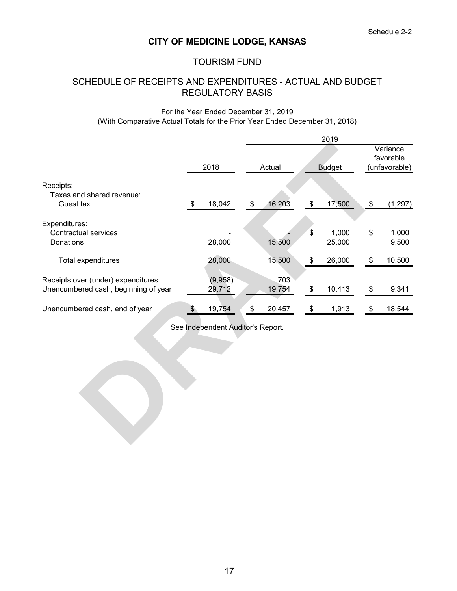## TOURISM FUND

# SCHEDULE OF RECEIPTS AND EXPENDITURES - ACTUAL AND BUDGET REGULATORY BASIS

#### For the Year Ended December 31, 2019 (With Comparative Actual Totals for the Prior Year Ended December 31, 2018)

|                                                                            |                                   |               |                   | 2019            |                           |                       |
|----------------------------------------------------------------------------|-----------------------------------|---------------|-------------------|-----------------|---------------------------|-----------------------|
|                                                                            |                                   |               |                   |                 |                           | Variance<br>favorable |
|                                                                            | 2018                              | Actual        |                   | <b>Budget</b>   |                           | (unfavorable)         |
| Receipts:<br>Taxes and shared revenue:<br>Guest tax                        | \$<br>18,042                      | \$<br>16,203  | \$                | 17,500          | \$                        | (1, 297)              |
| Expenditures:<br><b>Contractual services</b><br>Donations                  | 28,000                            | 15,500        | \$                | 1,000<br>25,000 | \$                        | 1,000<br>9,500        |
| Total expenditures                                                         | 28,000                            | 15,500        | \$                | 26,000          | \$                        | 10,500                |
| Receipts over (under) expenditures<br>Unencumbered cash, beginning of year | (9,958)<br>29,712                 | 703<br>19,754 | \$                | 10,413          | \$                        | 9,341                 |
| Unencumbered cash, end of year                                             | \$<br>19,754                      | \$<br>20,457  | $\boldsymbol{\$}$ | 1,913           | $\boldsymbol{\mathsf{S}}$ | 18,544                |
|                                                                            | See Independent Auditor's Report. |               |                   |                 |                           |                       |
|                                                                            |                                   |               |                   |                 |                           |                       |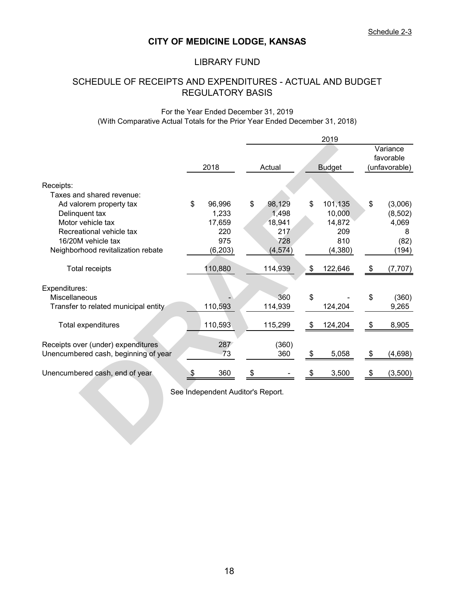## LIBRARY FUND

# SCHEDULE OF RECEIPTS AND EXPENDITURES - ACTUAL AND BUDGET REGULATORY BASIS

#### For the Year Ended December 31, 2019 (With Comparative Actual Totals for the Prior Year Ended December 31, 2018)

|                                      |                                   |    |          |               | 2019          |                       |
|--------------------------------------|-----------------------------------|----|----------|---------------|---------------|-----------------------|
|                                      |                                   |    |          |               |               | Variance<br>favorable |
|                                      | 2018                              |    | Actual   |               | <b>Budget</b> | (unfavorable)         |
| Receipts:                            |                                   |    |          |               |               |                       |
| Taxes and shared revenue:            |                                   |    |          |               |               |                       |
| Ad valorem property tax              | \$<br>96,996                      | \$ | 98,129   | \$            | 101,135       | \$<br>(3,006)         |
| Delinquent tax                       | 1,233                             |    | 1,498    |               | 10,000        | (8, 502)              |
| Motor vehicle tax                    | 17,659                            |    | 18,941   |               | 14,872        | 4,069                 |
| Recreational vehicle tax             | 220                               |    | 217      |               | 209           | 8                     |
| 16/20M vehicle tax                   | 975                               |    | 728      |               | 810           | (82)                  |
| Neighborhood revitalization rebate   | (6, 203)                          |    | (4, 574) |               | (4, 380)      | (194)                 |
| <b>Total receipts</b>                | 110,880                           |    | 114,939  | $\frac{1}{2}$ | 122,646       | \$<br>(7, 707)        |
| Expenditures:                        |                                   |    |          |               |               |                       |
| Miscellaneous                        |                                   |    | 360      | \$            |               | \$<br>(360)           |
| Transfer to related municipal entity | 110,593                           |    | 114,939  |               | 124,204       | 9,265                 |
| Total expenditures                   | 110,593                           |    | 115,299  | \$            | 124,204       | \$<br>8,905           |
| Receipts over (under) expenditures   | 287                               |    | (360)    |               |               |                       |
| Unencumbered cash, beginning of year | 73                                |    | 360      | \$            | 5,058         | \$<br>(4,698)         |
| Unencumbered cash, end of year       | \$<br>360                         | \$ |          | \$            | 3,500         | \$<br>(3,500)         |
|                                      | See Independent Auditor's Report. |    |          |               |               |                       |
|                                      |                                   |    |          |               |               |                       |
|                                      |                                   |    |          |               |               |                       |
|                                      |                                   |    |          |               |               |                       |
|                                      |                                   |    |          |               |               |                       |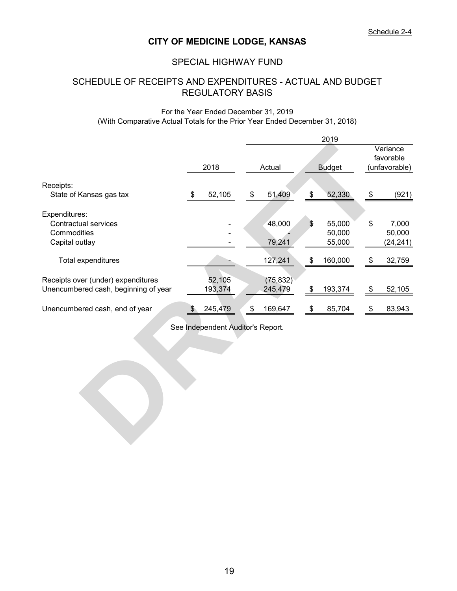## SPECIAL HIGHWAY FUND

# SCHEDULE OF RECEIPTS AND EXPENDITURES - ACTUAL AND BUDGET REGULATORY BASIS

#### For the Year Ended December 31, 2019 (With Comparative Actual Totals for the Prior Year Ended December 31, 2018)

|                                            |                                   |               | 2019                   |                            |                       |
|--------------------------------------------|-----------------------------------|---------------|------------------------|----------------------------|-----------------------|
|                                            |                                   |               |                        |                            | Variance<br>favorable |
|                                            | 2018                              | Actual        | <b>Budget</b>          |                            | (unfavorable)         |
|                                            |                                   |               |                        |                            |                       |
| Receipts:<br>State of Kansas gas tax       | \$<br>52,105                      | \$<br>51,409  | \$<br>52,330           | \$                         | (921)                 |
|                                            |                                   |               |                        |                            |                       |
| Expenditures:                              |                                   |               |                        |                            |                       |
| <b>Contractual services</b><br>Commodities |                                   | 48,000        | \$<br>55,000<br>50,000 | \$                         | 7,000<br>50,000       |
| Capital outlay                             |                                   | 79,241        | 55,000                 |                            | (24, 241)             |
|                                            |                                   |               |                        |                            |                       |
| Total expenditures                         |                                   | 127,241       | \$<br>160,000          | \$                         | 32,759                |
| Receipts over (under) expenditures         | 52,105                            | (75, 832)     |                        |                            |                       |
| Unencumbered cash, beginning of year       | 193,374                           | 245,479       | \$<br>193,374          | $\boldsymbol{\mathsf{\$}}$ | 52,105                |
|                                            |                                   |               |                        |                            |                       |
| Unencumbered cash, end of year             | \$<br>245,479                     | \$<br>169,647 | \$<br>85,704           | \$                         | 83,943                |
|                                            | See Independent Auditor's Report. |               |                        |                            |                       |
|                                            |                                   |               |                        |                            |                       |
|                                            |                                   |               |                        |                            |                       |
|                                            |                                   |               |                        |                            |                       |
|                                            |                                   |               |                        |                            |                       |
|                                            |                                   |               |                        |                            |                       |
|                                            |                                   |               |                        |                            |                       |
|                                            |                                   |               |                        |                            |                       |
|                                            |                                   |               |                        |                            |                       |
|                                            |                                   |               |                        |                            |                       |
|                                            |                                   |               |                        |                            |                       |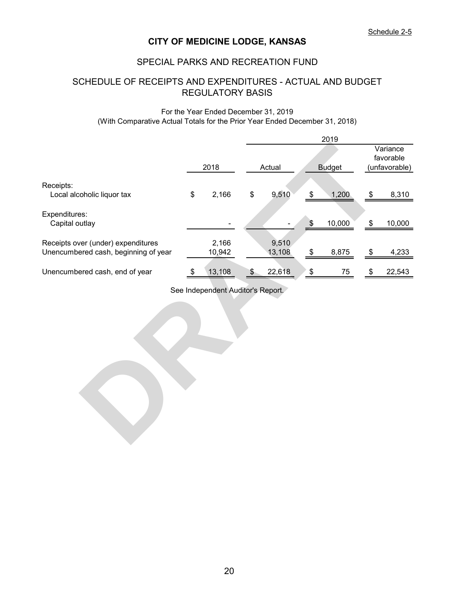## SPECIAL PARKS AND RECREATION FUND

# SCHEDULE OF RECEIPTS AND EXPENDITURES - ACTUAL AND BUDGET REGULATORY BASIS

#### For the Year Ended December 31, 2019 (With Comparative Actual Totals for the Prior Year Ended December 31, 2018)

|                                                                            |      |                                   |                 |                            | 2019          |                                        |        |  |
|----------------------------------------------------------------------------|------|-----------------------------------|-----------------|----------------------------|---------------|----------------------------------------|--------|--|
|                                                                            | 2018 |                                   | Actual          |                            |               | Variance<br>favorable<br>(unfavorable) |        |  |
|                                                                            |      |                                   |                 |                            | <b>Budget</b> |                                        |        |  |
| Receipts:<br>Local alcoholic liquor tax                                    | \$   | 2,166                             | \$<br>9,510     | $\boldsymbol{\mathsf{\$}}$ | 1,200         | \$                                     | 8,310  |  |
| Expenditures:<br>Capital outlay                                            |      |                                   |                 | $\,$                       | 10,000        | \$                                     | 10,000 |  |
| Receipts over (under) expenditures<br>Unencumbered cash, beginning of year |      | 2,166<br>10,942                   | 9,510<br>13,108 | \$                         | 8,875         | \$                                     | 4,233  |  |
| Unencumbered cash, end of year                                             | \$   | 13,108                            | \$<br>22,618    | ΄\$                        | 75            | \$                                     | 22,543 |  |
|                                                                            |      | See Independent Auditor's Report. |                 |                            |               |                                        |        |  |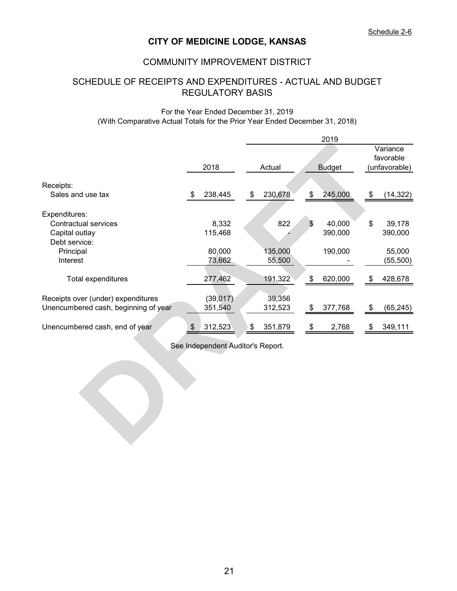## COMMUNITY IMPROVEMENT DISTRICT

# SCHEDULE OF RECEIPTS AND EXPENDITURES - ACTUAL AND BUDGET REGULATORY BASIS

#### (With Comparative Actual Totals for the Prior Year Ended December 31, 2018) For the Year Ended December 31, 2019

|                                      |                         |                                   |               |         |  |               | 2019    |  |               |                       |  |
|--------------------------------------|-------------------------|-----------------------------------|---------------|---------|--|---------------|---------|--|---------------|-----------------------|--|
|                                      |                         |                                   |               |         |  |               |         |  |               | Variance<br>favorable |  |
|                                      |                         | 2018                              |               | Actual  |  | <b>Budget</b> |         |  | (unfavorable) |                       |  |
| Receipts:                            |                         |                                   |               |         |  |               |         |  |               |                       |  |
| Sales and use tax                    | \$                      | 238,445                           | \$            | 230,678 |  | \$            | 245,000 |  | \$            | (14, 322)             |  |
| Expenditures:                        |                         |                                   |               |         |  |               |         |  |               |                       |  |
| <b>Contractual services</b>          |                         | 8,332                             |               | 822     |  | \$            | 40,000  |  | \$            | 39,178                |  |
| Capital outlay<br>Debt service:      |                         | 115,468                           |               |         |  |               | 390,000 |  |               | 390,000               |  |
| Principal                            |                         | 80,000                            |               | 135,000 |  |               | 190,000 |  |               | 55,000                |  |
| Interest                             |                         | 73,662                            |               | 55,500  |  |               |         |  |               | (55, 500)             |  |
| Total expenditures                   |                         | 277,462                           |               | 191,322 |  | \$            | 620,000 |  | \$            | 428,678               |  |
| Receipts over (under) expenditures   |                         | (39, 017)                         |               | 39,356  |  |               |         |  |               |                       |  |
| Unencumbered cash, beginning of year |                         | 351,540                           |               | 312,523 |  | \$            | 377,768 |  | \$            | (65, 245)             |  |
| Unencumbered cash, end of year       | $\sqrt[6]{\frac{1}{2}}$ | 312,523                           | $\sqrt[6]{3}$ | 351,879 |  | \$            | 2,768   |  | \$            | 349,111               |  |
|                                      |                         | See Independent Auditor's Report. |               |         |  |               |         |  |               |                       |  |
|                                      |                         |                                   |               |         |  |               |         |  |               |                       |  |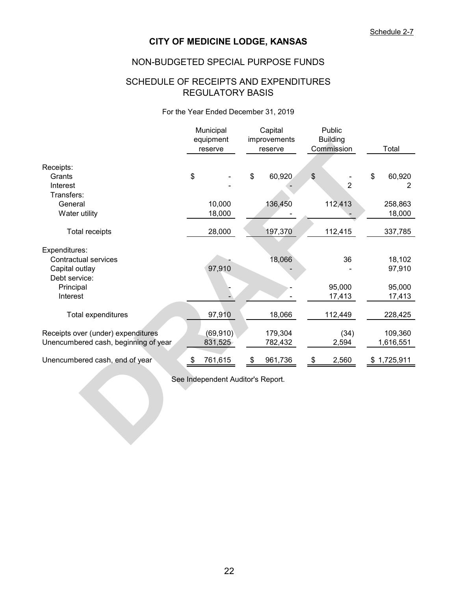## NON-BUDGETED SPECIAL PURPOSE FUNDS

## REGULATORY BASIS SCHEDULE OF RECEIPTS AND EXPENDITURES

#### For the Year Ended December 31, 2019

|                                      | Municipal<br>equipment<br>reserve | Capital<br>improvements<br>reserve | Public<br><b>Building</b><br>Commission | Total             |
|--------------------------------------|-----------------------------------|------------------------------------|-----------------------------------------|-------------------|
| Receipts:                            |                                   |                                    |                                         |                   |
| Grants                               | \$                                | \$<br>60,920                       | \$                                      | \$<br>60,920      |
| Interest                             |                                   |                                    | $\overline{2}$                          | $\overline{2}$    |
| Transfers:                           |                                   |                                    |                                         |                   |
| General<br>Water utility             | 10,000<br>18,000                  | 136,450                            | 112,413                                 | 258,863<br>18,000 |
|                                      |                                   |                                    |                                         |                   |
| <b>Total receipts</b>                | 28,000                            | 197,370                            | 112,415                                 | 337,785           |
| Expenditures:                        |                                   |                                    |                                         |                   |
| <b>Contractual services</b>          |                                   | 18,066                             | 36                                      | 18,102            |
| Capital outlay                       | 97,910                            |                                    |                                         | 97,910            |
| Debt service:                        |                                   |                                    |                                         |                   |
| Principal                            |                                   |                                    | 95,000                                  | 95,000            |
| Interest                             |                                   |                                    | 17,413                                  | 17,413            |
| Total expenditures                   | 97,910                            | 18,066                             | 112,449                                 | 228,425           |
| Receipts over (under) expenditures   | (69, 910)                         | 179,304                            | (34)                                    | 109,360           |
| Unencumbered cash, beginning of year | 831,525                           | 782,432                            | 2,594                                   | 1,616,551         |
| Unencumbered cash, end of year       | \$<br>761,615                     | 961,736<br>\$                      | \$<br>2,560                             | \$1,725,911       |
|                                      | See Independent Auditor's Report. |                                    |                                         |                   |
|                                      |                                   |                                    |                                         |                   |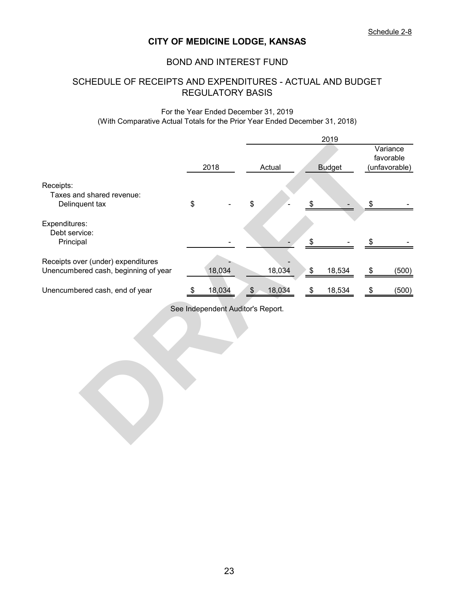## BOND AND INTEREST FUND

# SCHEDULE OF RECEIPTS AND EXPENDITURES - ACTUAL AND BUDGET REGULATORY BASIS

#### For the Year Ended December 31, 2019 (With Comparative Actual Totals for the Prior Year Ended December 31, 2018)

|                                                                            |                                   |               |        |                      | 2019          |      |                                        |
|----------------------------------------------------------------------------|-----------------------------------|---------------|--------|----------------------|---------------|------|----------------------------------------|
|                                                                            | 2018                              |               | Actual |                      | <b>Budget</b> |      | Variance<br>favorable<br>(unfavorable) |
| Receipts:<br>Taxes and shared revenue:<br>Delinquent tax                   | \$                                | \$            |        |                      |               | \$   |                                        |
| Expenditures:<br>Debt service:<br>Principal                                |                                   |               |        | \$                   |               | \$   |                                        |
| Receipts over (under) expenditures<br>Unencumbered cash, beginning of year | 18,034                            |               | 18,034 | $\pmb{\mathfrak{P}}$ | 18,534        | \$   | (500)                                  |
| Unencumbered cash, end of year                                             | \$<br>18,034                      | $\frac{1}{2}$ | 18,034 | $\pmb{\mathfrak{P}}$ | 18,534        | $\,$ | (500)                                  |
|                                                                            | See Independent Auditor's Report. |               |        |                      |               |      |                                        |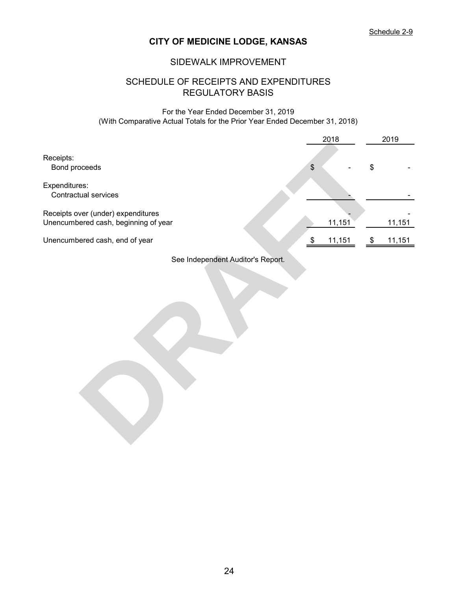## SIDEWALK IMPROVEMENT

## REGULATORY BASIS SCHEDULE OF RECEIPTS AND EXPENDITURES

For the Year Ended December 31, 2019 (With Comparative Actual Totals for the Prior Year Ended December 31, 2018)

|                                                                            |                                           | 2018   |                            | 2019   |
|----------------------------------------------------------------------------|-------------------------------------------|--------|----------------------------|--------|
| Receipts:<br>Bond proceeds<br>Expenditures:                                | $\, \, \raisebox{12pt}{$\scriptstyle \$}$ |        | \$                         |        |
| Contractual services                                                       |                                           |        |                            |        |
| Receipts over (under) expenditures<br>Unencumbered cash, beginning of year |                                           | 11,151 |                            | 11,151 |
| Unencumbered cash, end of year                                             | $\$\$                                     | 11,151 | $\boldsymbol{\mathcal{F}}$ | 11,151 |
| See Independent Auditor's Report.                                          |                                           |        |                            |        |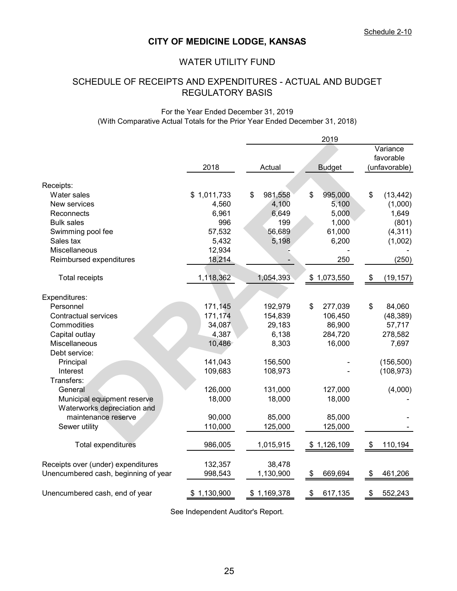## WATER UTILITY FUND

# REGULATORY BASIS SCHEDULE OF RECEIPTS AND EXPENDITURES - ACTUAL AND BUDGET

#### For the Year Ended December 31, 2019 (With Comparative Actual Totals for the Prior Year Ended December 31, 2018)

|                                      |             |               | 2019          |                                      |
|--------------------------------------|-------------|---------------|---------------|--------------------------------------|
|                                      |             |               |               | Variance                             |
|                                      |             |               |               | favorable                            |
|                                      | 2018        | Actual        | <b>Budget</b> | (unfavorable)                        |
| Receipts:                            |             |               |               |                                      |
| Water sales                          | \$1,011,733 | \$<br>981,558 | \$<br>995,000 | \$<br>(13, 442)                      |
| New services                         | 4,560       | 4,100         | 5,100         | (1,000)                              |
| Reconnects                           | 6,961       | 6,649         | 5,000         | 1,649                                |
| <b>Bulk sales</b>                    | 996         | 199           | 1,000         | (801)                                |
| Swimming pool fee                    | 57,532      | 56,689        | 61,000        | (4, 311)                             |
| Sales tax                            | 5,432       | 5,198         | 6,200         | (1,002)                              |
| Miscellaneous                        | 12,934      |               |               |                                      |
| Reimbursed expenditures              | 18,214      |               | 250           | (250)                                |
| <b>Total receipts</b>                | 1,118,362   | 1,054,393     | \$1,073,550   | $\sqrt[6]{\frac{1}{2}}$<br>(19, 157) |
|                                      |             |               |               |                                      |
| Expenditures:                        |             |               |               |                                      |
| Personnel                            | 171,145     | 192,979       | \$<br>277,039 | \$<br>84,060                         |
| <b>Contractual services</b>          | 171,174     | 154,839       | 106,450       | (48, 389)                            |
| Commodities                          | 34,087      | 29,183        | 86,900        | 57,717                               |
| Capital outlay                       | 4,387       | 6,138         | 284,720       | 278,582                              |
| Miscellaneous                        | 10,486      | 8,303         | 16,000        | 7,697                                |
| Debt service:                        |             |               |               |                                      |
| Principal                            | 141,043     | 156,500       |               | (156, 500)                           |
| Interest<br>Transfers:               | 109,683     | 108,973       |               | (108, 973)                           |
| General                              | 126,000     | 131,000       | 127,000       | (4,000)                              |
| Municipal equipment reserve          | 18,000      | 18,000        | 18,000        |                                      |
| Waterworks depreciation and          |             |               |               |                                      |
| maintenance reserve                  | 90,000      | 85,000        | 85,000        |                                      |
| Sewer utility                        | 110,000     | 125,000       | 125,000       |                                      |
| <b>Total expenditures</b>            | 986,005     | 1,015,915     | \$1,126,109   | \$<br>110,194                        |
| Receipts over (under) expenditures   | 132,357     | 38,478        |               |                                      |
| Unencumbered cash, beginning of year | 998,543     | 1,130,900     | \$<br>669,694 | \$<br>461,206                        |
| Unencumbered cash, end of year       | \$1,130,900 | \$1,169,378   | \$<br>617,135 | 552,243<br>\$                        |
|                                      |             |               |               |                                      |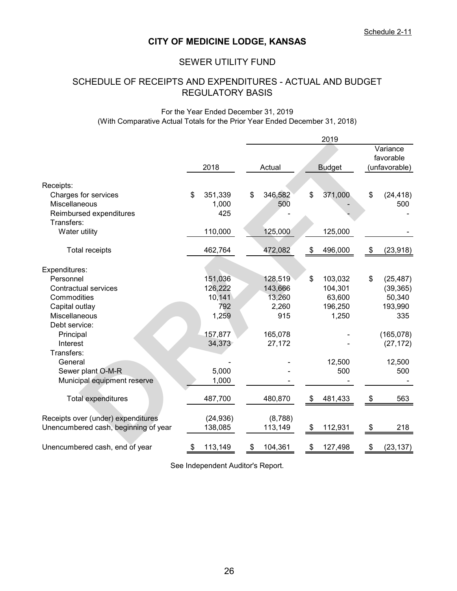## SEWER UTILITY FUND

# REGULATORY BASIS SCHEDULE OF RECEIPTS AND EXPENDITURES - ACTUAL AND BUDGET

#### For the Year Ended December 31, 2019 (With Comparative Actual Totals for the Prior Year Ended December 31, 2018)

|      |           |                                               |         |                                     | 2019    |                                     |                                        |
|------|-----------|-----------------------------------------------|---------|-------------------------------------|---------|-------------------------------------|----------------------------------------|
| 2018 |           |                                               |         |                                     |         |                                     | Variance<br>favorable<br>(unfavorable) |
|      |           |                                               |         |                                     |         |                                     |                                        |
|      |           |                                               |         |                                     |         |                                     |                                        |
|      |           |                                               |         |                                     |         |                                     | (24, 418)                              |
|      |           |                                               |         |                                     |         |                                     | 500                                    |
|      |           |                                               |         |                                     |         |                                     |                                        |
|      |           |                                               |         |                                     |         |                                     |                                        |
|      |           |                                               |         |                                     |         |                                     |                                        |
|      | 462,764   |                                               | 472,082 | \$                                  | 496,000 | \$                                  | (23, 918)                              |
|      |           |                                               |         |                                     |         |                                     |                                        |
|      |           |                                               |         |                                     |         |                                     |                                        |
|      |           |                                               | 128,519 | \$                                  | 103,032 | \$                                  | (25, 487)                              |
|      | 126,222   |                                               | 143,666 |                                     | 104,301 |                                     | (39, 365)                              |
|      | 10,141    |                                               | 13,260  |                                     | 63,600  |                                     | 50,340                                 |
|      | 792       |                                               | 2,260   |                                     | 196,250 |                                     | 193,990                                |
|      | 1,259     |                                               | 915     |                                     | 1,250   |                                     | 335                                    |
|      |           |                                               |         |                                     |         |                                     |                                        |
|      | 157,877   |                                               | 165,078 |                                     |         |                                     | (165, 078)                             |
|      | 34,373    |                                               | 27,172  |                                     |         |                                     | (27, 172)                              |
|      |           |                                               |         |                                     |         |                                     |                                        |
|      |           |                                               |         |                                     | 12,500  |                                     | 12,500                                 |
|      | 5,000     |                                               |         |                                     | 500     |                                     | 500                                    |
|      | 1,000     |                                               |         |                                     |         |                                     |                                        |
|      |           |                                               |         |                                     |         |                                     |                                        |
|      | 487,700   |                                               | 480,870 | \$                                  | 481,433 | \$                                  | 563                                    |
|      |           |                                               |         |                                     |         |                                     |                                        |
|      | (24, 936) |                                               | (8,788) |                                     |         |                                     |                                        |
|      | 138,085   |                                               | 113,149 | \$                                  | 112,931 | $\boldsymbol{\mathsf{S}}$           | 218                                    |
| \$   | 113,149   | \$                                            | 104,361 | \$                                  | 127,498 | \$                                  | (23, 137)                              |
|      | \$        | 351,339<br>1,000<br>425<br>110,000<br>151,036 | \$      | Actual<br>346,582<br>500<br>125,000 | \$      | <b>Budget</b><br>371,000<br>125,000 | \$                                     |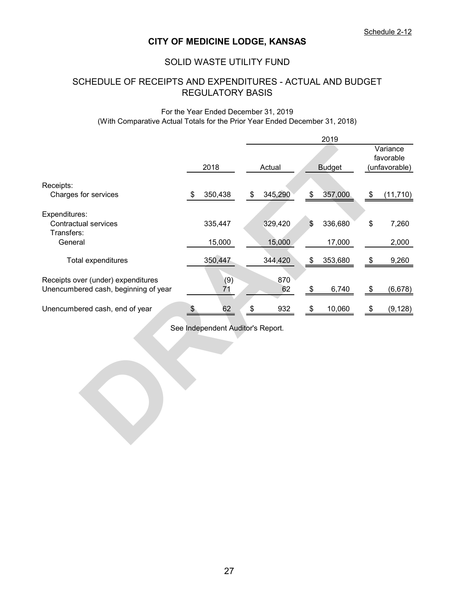## SOLID WASTE UTILITY FUND

# SCHEDULE OF RECEIPTS AND EXPENDITURES - ACTUAL AND BUDGET REGULATORY BASIS

#### For the Year Ended December 31, 2019 (With Comparative Actual Totals for the Prior Year Ended December 31, 2018)

|                                                                            |    |                                   |        |           |      | 2019          |                   |                       |  |
|----------------------------------------------------------------------------|----|-----------------------------------|--------|-----------|------|---------------|-------------------|-----------------------|--|
|                                                                            |    |                                   |        |           |      |               |                   | Variance<br>favorable |  |
|                                                                            |    | 2018                              | Actual |           |      | <b>Budget</b> | (unfavorable)     |                       |  |
| Receipts:                                                                  |    |                                   |        |           |      |               |                   |                       |  |
| Charges for services                                                       | \$ | 350,438                           | \$     | 345,290   | \$   | 357,000       | \$                | (11, 710)             |  |
| Expenditures:                                                              |    |                                   |        |           |      |               |                   |                       |  |
| <b>Contractual services</b><br>Transfers:                                  |    | 335,447                           |        | 329,420   | \$   | 336,680       | \$                | 7,260                 |  |
| General                                                                    |    | 15,000                            |        | 15,000    |      | 17,000        |                   | 2,000                 |  |
| Total expenditures                                                         |    | 350,447                           |        | 344,420   | \$   | 353,680       | $\boldsymbol{\$}$ | 9,260                 |  |
| Receipts over (under) expenditures<br>Unencumbered cash, beginning of year |    | (9)<br>71                         |        | 870<br>62 | \$   | 6,740         | \$                | (6, 678)              |  |
| Unencumbered cash, end of year                                             | \$ | 62                                | \$     | 932       | $\,$ | 10,060        | $\frac{1}{2}$     | (9, 128)              |  |
|                                                                            |    | See Independent Auditor's Report. |        |           |      |               |                   |                       |  |